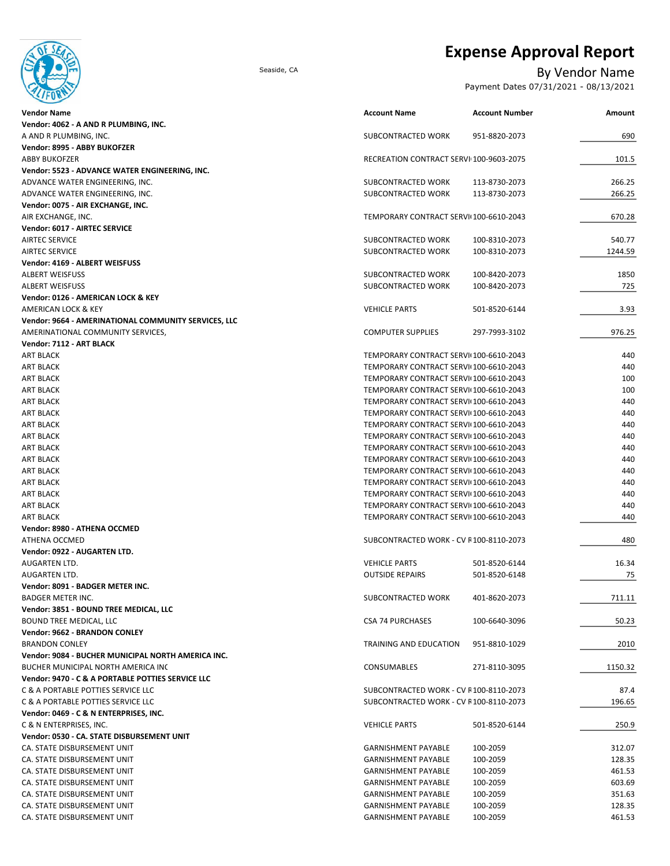

# **Expense Approval Report**

## Seaside, CA By Vendor Name

Payment Dates 07/31/2021 - 08/13/2021

| <b>Vendor Name</b>                                   | <b>Account Name</b>                     | <b>Account Number</b> | Amount  |
|------------------------------------------------------|-----------------------------------------|-----------------------|---------|
| Vendor: 4062 - A AND R PLUMBING, INC.                |                                         |                       |         |
| A AND R PLUMBING, INC.                               | SUBCONTRACTED WORK                      | 951-8820-2073         | 690     |
| Vendor: 8995 - ABBY BUKOFZER                         |                                         |                       |         |
| <b>ABBY BUKOFZER</b>                                 | RECREATION CONTRACT SERVI 100-9603-2075 |                       | 101.5   |
| Vendor: 5523 - ADVANCE WATER ENGINEERING, INC.       |                                         |                       |         |
| ADVANCE WATER ENGINEERING, INC.                      | SUBCONTRACTED WORK                      | 113-8730-2073         | 266.25  |
| ADVANCE WATER ENGINEERING, INC.                      | SUBCONTRACTED WORK                      | 113-8730-2073         | 266.25  |
| Vendor: 0075 - AIR EXCHANGE, INC.                    |                                         |                       |         |
| AIR EXCHANGE, INC.                                   | TEMPORARY CONTRACT SERVII 100-6610-2043 |                       | 670.28  |
| Vendor: 6017 - AIRTEC SERVICE                        |                                         |                       |         |
| <b>AIRTEC SERVICE</b>                                | SUBCONTRACTED WORK                      | 100-8310-2073         | 540.77  |
| <b>AIRTEC SERVICE</b>                                | SUBCONTRACTED WORK                      | 100-8310-2073         | 1244.59 |
| Vendor: 4169 - ALBERT WEISFUSS                       |                                         |                       |         |
| <b>ALBERT WEISFUSS</b>                               | SUBCONTRACTED WORK                      | 100-8420-2073         | 1850    |
| <b>ALBERT WEISFUSS</b>                               | SUBCONTRACTED WORK                      | 100-8420-2073         | 725     |
| Vendor: 0126 - AMERICAN LOCK & KEY                   |                                         |                       |         |
| AMERICAN LOCK & KEY                                  | <b>VEHICLE PARTS</b>                    | 501-8520-6144         | 3.93    |
| Vendor: 9664 - AMERINATIONAL COMMUNITY SERVICES, LLC |                                         |                       |         |
| AMERINATIONAL COMMUNITY SERVICES,                    | <b>COMPUTER SUPPLIES</b>                | 297-7993-3102         | 976.25  |
| Vendor: 7112 - ART BLACK                             |                                         |                       |         |
| <b>ART BLACK</b>                                     | TEMPORARY CONTRACT SERVII 100-6610-2043 |                       | 440     |
| <b>ART BLACK</b>                                     | TEMPORARY CONTRACT SERVI(100-6610-2043  |                       | 440     |
| <b>ART BLACK</b>                                     | TEMPORARY CONTRACT SERVI(100-6610-2043  |                       | 100     |
| <b>ART BLACK</b>                                     | TEMPORARY CONTRACT SERVI(100-6610-2043  |                       | 100     |
| <b>ART BLACK</b>                                     | TEMPORARY CONTRACT SERVI(100-6610-2043  |                       | 440     |
| <b>ART BLACK</b>                                     | TEMPORARY CONTRACT SERVI(100-6610-2043  |                       | 440     |
| <b>ART BLACK</b>                                     | TEMPORARY CONTRACT SERVI(100-6610-2043  |                       | 440     |
| <b>ART BLACK</b>                                     | TEMPORARY CONTRACT SERVI(100-6610-2043  |                       | 440     |
| <b>ART BLACK</b>                                     | TEMPORARY CONTRACT SERVI(100-6610-2043  |                       | 440     |
| <b>ART BLACK</b>                                     | TEMPORARY CONTRACT SERVI(100-6610-2043  |                       | 440     |
| <b>ART BLACK</b>                                     | TEMPORARY CONTRACT SERVII 100-6610-2043 |                       | 440     |
| <b>ART BLACK</b>                                     | TEMPORARY CONTRACT SERVI(100-6610-2043  |                       | 440     |
| ART BLACK                                            | TEMPORARY CONTRACT SERVI(100-6610-2043  |                       | 440     |
| ART BLACK                                            | TEMPORARY CONTRACT SERVI(100-6610-2043  |                       | 440     |
| <b>ART BLACK</b>                                     | TEMPORARY CONTRACT SERVI(100-6610-2043  |                       | 440     |
| Vendor: 8980 - ATHENA OCCMED                         |                                         |                       |         |
| ATHENA OCCMED                                        | SUBCONTRACTED WORK - CV R100-8110-2073  |                       | 480     |
| Vendor: 0922 - AUGARTEN LTD.                         |                                         |                       |         |
| AUGARTEN LTD.                                        | <b>VEHICLE PARTS</b>                    | 501-8520-6144         | 16.34   |
| AUGARTEN LTD.                                        | <b>OUTSIDE REPAIRS</b>                  | 501-8520-6148         | 75      |
| Vendor: 8091 - BADGER METER INC.                     |                                         |                       |         |
| BADGER METER INC.                                    | SUBCONTRACTED WORK                      | 401-8620-2073         | 711.11  |
| Vendor: 3851 - BOUND TREE MEDICAL, LLC               |                                         |                       |         |
| BOUND TREE MEDICAL, LLC                              | <b>CSA 74 PURCHASES</b>                 | 100-6640-3096         | 50.23   |
| Vendor: 9662 - BRANDON CONLEY                        |                                         |                       |         |
| <b>BRANDON CONLEY</b>                                | TRAINING AND EDUCATION                  | 951-8810-1029         | 2010    |
| Vendor: 9084 - BUCHER MUNICIPAL NORTH AMERICA INC.   |                                         |                       |         |
| BUCHER MUNICIPAL NORTH AMERICA INC                   | <b>CONSUMABLES</b>                      | 271-8110-3095         | 1150.32 |
| Vendor: 9470 - C & A PORTABLE POTTIES SERVICE LLC    |                                         |                       |         |
| C & A PORTABLE POTTIES SERVICE LLC                   | SUBCONTRACTED WORK - CV R100-8110-2073  |                       | 87.4    |
| C & A PORTABLE POTTIES SERVICE LLC                   | SUBCONTRACTED WORK - CV R100-8110-2073  |                       | 196.65  |
| Vendor: 0469 - C & N ENTERPRISES, INC.               |                                         |                       |         |
| C & N ENTERPRISES, INC.                              | <b>VEHICLE PARTS</b>                    | 501-8520-6144         | 250.9   |
| Vendor: 0530 - CA. STATE DISBURSEMENT UNIT           |                                         |                       |         |
| CA. STATE DISBURSEMENT UNIT                          | <b>GARNISHMENT PAYABLE</b>              | 100-2059              | 312.07  |
| CA. STATE DISBURSEMENT UNIT                          | <b>GARNISHMENT PAYABLE</b>              | 100-2059              | 128.35  |
| CA. STATE DISBURSEMENT UNIT                          | <b>GARNISHMENT PAYABLE</b>              | 100-2059              | 461.53  |
| CA. STATE DISBURSEMENT UNIT                          | <b>GARNISHMENT PAYABLE</b>              | 100-2059              | 603.69  |
| CA. STATE DISBURSEMENT UNIT                          | <b>GARNISHMENT PAYABLE</b>              | 100-2059              | 351.63  |
| CA. STATE DISBURSEMENT UNIT                          | <b>GARNISHMENT PAYABLE</b>              |                       | 128.35  |
| CA. STATE DISBURSEMENT UNIT                          |                                         | 100-2059              |         |
|                                                      | <b>GARNISHMENT PAYABLE</b>              | 100-2059              | 461.53  |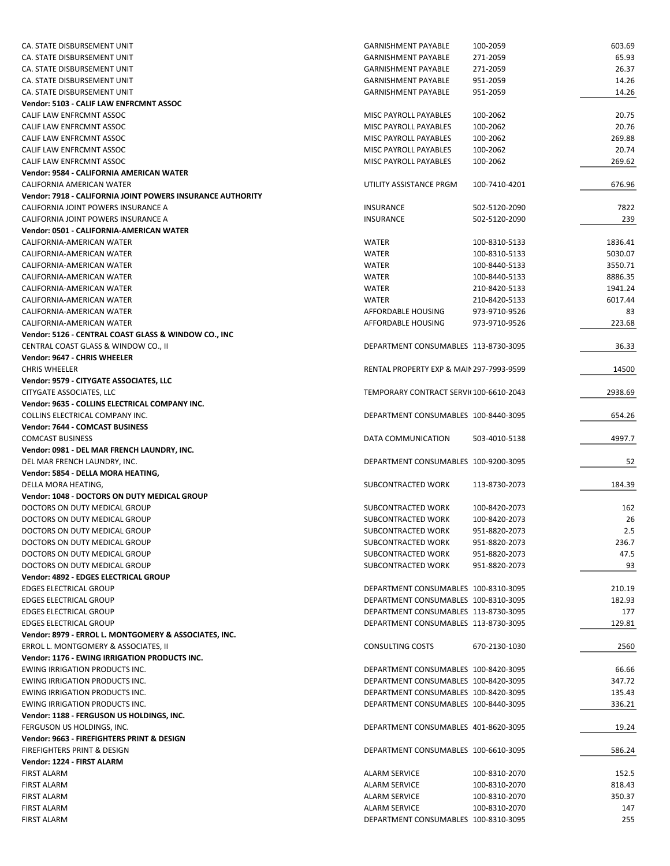| CA. STATE DISBURSEMENT UNIT                                | <b>GARNISHMENT PAYABLE</b>                          | 100-2059      | 603.69  |
|------------------------------------------------------------|-----------------------------------------------------|---------------|---------|
| CA. STATE DISBURSEMENT UNIT                                | <b>GARNISHMENT PAYABLE</b>                          | 271-2059      | 65.93   |
| CA. STATE DISBURSEMENT UNIT                                | <b>GARNISHMENT PAYABLE</b>                          | 271-2059      | 26.37   |
| CA. STATE DISBURSEMENT UNIT                                | <b>GARNISHMENT PAYABLE</b>                          | 951-2059      | 14.26   |
| CA. STATE DISBURSEMENT UNIT                                | <b>GARNISHMENT PAYABLE</b>                          | 951-2059      | 14.26   |
| Vendor: 5103 - CALIF LAW ENFRCMNT ASSOC                    |                                                     |               |         |
| CALIF LAW ENFRCMNT ASSOC                                   | MISC PAYROLL PAYABLES                               | 100-2062      | 20.75   |
| CALIF LAW ENFRCMNT ASSOC                                   | MISC PAYROLL PAYABLES                               | 100-2062      | 20.76   |
| CALIF LAW ENFRCMNT ASSOC                                   | MISC PAYROLL PAYABLES                               | 100-2062      | 269.88  |
| CALIF LAW ENFRCMNT ASSOC                                   | <b>MISC PAYROLL PAYABLES</b>                        | 100-2062      | 20.74   |
| CALIF LAW ENFRCMNT ASSOC                                   | MISC PAYROLL PAYABLES                               | 100-2062      | 269.62  |
| Vendor: 9584 - CALIFORNIA AMERICAN WATER                   |                                                     |               |         |
| CALIFORNIA AMERICAN WATER                                  | UTILITY ASSISTANCE PRGM                             | 100-7410-4201 | 676.96  |
| Vendor: 7918 - CALIFORNIA JOINT POWERS INSURANCE AUTHORITY |                                                     |               |         |
| CALIFORNIA JOINT POWERS INSURANCE A                        | <b>INSURANCE</b>                                    | 502-5120-2090 | 7822    |
| CALIFORNIA JOINT POWERS INSURANCE A                        | <b>INSURANCE</b>                                    | 502-5120-2090 | 239     |
| Vendor: 0501 - CALIFORNIA-AMERICAN WATER                   |                                                     |               |         |
| CALIFORNIA-AMERICAN WATER                                  | <b>WATER</b>                                        | 100-8310-5133 | 1836.41 |
| CALIFORNIA-AMERICAN WATER                                  | <b>WATER</b>                                        | 100-8310-5133 | 5030.07 |
| CALIFORNIA-AMERICAN WATER                                  | <b>WATER</b>                                        | 100-8440-5133 | 3550.71 |
| CALIFORNIA-AMERICAN WATER                                  | <b>WATER</b>                                        | 100-8440-5133 | 8886.35 |
| CALIFORNIA-AMERICAN WATER                                  | <b>WATER</b>                                        | 210-8420-5133 | 1941.24 |
| CALIFORNIA-AMERICAN WATER                                  | <b>WATER</b>                                        | 210-8420-5133 | 6017.44 |
| CALIFORNIA-AMERICAN WATER                                  | AFFORDABLE HOUSING                                  | 973-9710-9526 | 83      |
| CALIFORNIA-AMERICAN WATER                                  | AFFORDABLE HOUSING                                  | 973-9710-9526 | 223.68  |
| Vendor: 5126 - CENTRAL COAST GLASS & WINDOW CO., INC       |                                                     |               |         |
| CENTRAL COAST GLASS & WINDOW CO., II                       | DEPARTMENT CONSUMABLES 113-8730-3095                |               | 36.33   |
| Vendor: 9647 - CHRIS WHEELER                               |                                                     |               |         |
| <b>CHRIS WHEELER</b>                                       | <b>RENTAL PROPERTY EXP &amp; MAIN 297-7993-9599</b> |               | 14500   |
| Vendor: 9579 - CITYGATE ASSOCIATES, LLC                    |                                                     |               |         |
| CITYGATE ASSOCIATES, LLC                                   | TEMPORARY CONTRACT SERVI(100-6610-2043              |               | 2938.69 |
| Vendor: 9635 - COLLINS ELECTRICAL COMPANY INC.             |                                                     |               |         |
| COLLINS ELECTRICAL COMPANY INC.                            | DEPARTMENT CONSUMABLES 100-8440-3095                |               | 654.26  |
| Vendor: 7644 - COMCAST BUSINESS                            |                                                     |               |         |
| <b>COMCAST BUSINESS</b>                                    | DATA COMMUNICATION                                  | 503-4010-5138 | 4997.7  |
| Vendor: 0981 - DEL MAR FRENCH LAUNDRY, INC.                |                                                     |               |         |
| DEL MAR FRENCH LAUNDRY, INC.                               | DEPARTMENT CONSUMABLES 100-9200-3095                |               | 52      |
| Vendor: 5854 - DELLA MORA HEATING,<br>DELLA MORA HEATING,  | SUBCONTRACTED WORK                                  | 113-8730-2073 | 184.39  |
| <b>Vendor: 1048 - DOCTORS ON DUTY MEDICAL GROUP</b>        |                                                     |               |         |
| DOCTORS ON DUTY MEDICAL GROUP                              | SUBCONTRACTED WORK                                  | 100-8420-2073 | 162     |
| DOCTORS ON DUTY MEDICAL GROUP                              | SUBCONTRACTED WORK                                  | 100-8420-2073 | 26      |
| DOCTORS ON DUTY MEDICAL GROUP                              | SUBCONTRACTED WORK                                  | 951-8820-2073 | 2.5     |
| DOCTORS ON DUTY MEDICAL GROUP                              | SUBCONTRACTED WORK                                  | 951-8820-2073 | 236.7   |
| DOCTORS ON DUTY MEDICAL GROUP                              | SUBCONTRACTED WORK                                  | 951-8820-2073 | 47.5    |
| DOCTORS ON DUTY MEDICAL GROUP                              | SUBCONTRACTED WORK                                  | 951-8820-2073 | 93      |
| Vendor: 4892 - EDGES ELECTRICAL GROUP                      |                                                     |               |         |
| <b>EDGES ELECTRICAL GROUP</b>                              | DEPARTMENT CONSUMABLES 100-8310-3095                |               | 210.19  |
| <b>EDGES ELECTRICAL GROUP</b>                              | DEPARTMENT CONSUMABLES 100-8310-3095                |               | 182.93  |
| <b>EDGES ELECTRICAL GROUP</b>                              | DEPARTMENT CONSUMABLES 113-8730-3095                |               | 177     |
| <b>EDGES ELECTRICAL GROUP</b>                              | DEPARTMENT CONSUMABLES 113-8730-3095                |               | 129.81  |
| Vendor: 8979 - ERROL L. MONTGOMERY & ASSOCIATES, INC.      |                                                     |               |         |
| ERROL L. MONTGOMERY & ASSOCIATES, II                       | <b>CONSULTING COSTS</b>                             | 670-2130-1030 | 2560    |
| Vendor: 1176 - EWING IRRIGATION PRODUCTS INC.              |                                                     |               |         |
| EWING IRRIGATION PRODUCTS INC.                             | DEPARTMENT CONSUMABLES 100-8420-3095                |               | 66.66   |
| EWING IRRIGATION PRODUCTS INC.                             | DEPARTMENT CONSUMABLES 100-8420-3095                |               | 347.72  |
| EWING IRRIGATION PRODUCTS INC.                             | DEPARTMENT CONSUMABLES 100-8420-3095                |               | 135.43  |
| EWING IRRIGATION PRODUCTS INC.                             | DEPARTMENT CONSUMABLES 100-8440-3095                |               | 336.21  |
| Vendor: 1188 - FERGUSON US HOLDINGS, INC.                  |                                                     |               |         |
| FERGUSON US HOLDINGS, INC.                                 | DEPARTMENT CONSUMABLES 401-8620-3095                |               | 19.24   |
| Vendor: 9663 - FIREFIGHTERS PRINT & DESIGN                 |                                                     |               |         |
| FIREFIGHTERS PRINT & DESIGN                                | DEPARTMENT CONSUMABLES 100-6610-3095                |               | 586.24  |
| Vendor: 1224 - FIRST ALARM                                 |                                                     |               |         |
| <b>FIRST ALARM</b>                                         | <b>ALARM SERVICE</b>                                | 100-8310-2070 | 152.5   |
| <b>FIRST ALARM</b>                                         | ALARM SERVICE                                       | 100-8310-2070 | 818.43  |
| <b>FIRST ALARM</b>                                         | ALARM SERVICE                                       | 100-8310-2070 | 350.37  |
| <b>FIRST ALARM</b>                                         | ALARM SERVICE                                       | 100-8310-2070 | 147     |
| <b>FIRST ALARM</b>                                         | DEPARTMENT CONSUMABLES 100-8310-3095                |               | 255     |
|                                                            |                                                     |               |         |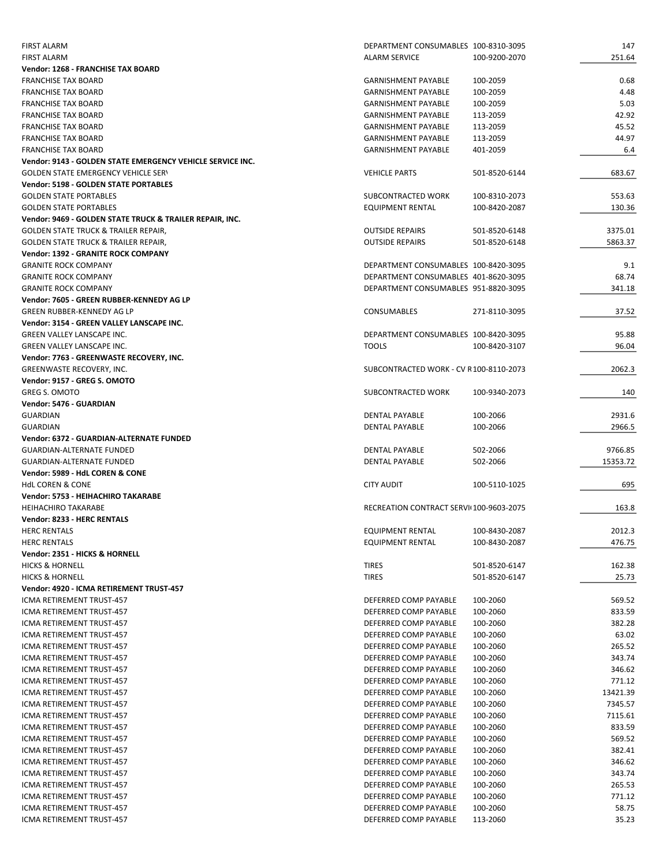| <b>FIRST ALARM</b>                                         | DEPARTMENT CONSUMABLES 100-8310-3095    |               | 147      |
|------------------------------------------------------------|-----------------------------------------|---------------|----------|
| <b>FIRST ALARM</b>                                         | <b>ALARM SERVICE</b>                    | 100-9200-2070 | 251.64   |
| Vendor: 1268 - FRANCHISE TAX BOARD                         |                                         |               |          |
| <b>FRANCHISE TAX BOARD</b>                                 | <b>GARNISHMENT PAYABLE</b>              | 100-2059      | 0.68     |
| <b>FRANCHISE TAX BOARD</b>                                 | <b>GARNISHMENT PAYABLE</b>              | 100-2059      | 4.48     |
| <b>FRANCHISE TAX BOARD</b>                                 | <b>GARNISHMENT PAYABLE</b>              | 100-2059      | 5.03     |
| <b>FRANCHISE TAX BOARD</b>                                 | <b>GARNISHMENT PAYABLE</b>              | 113-2059      | 42.92    |
| <b>FRANCHISE TAX BOARD</b>                                 | <b>GARNISHMENT PAYABLE</b>              | 113-2059      | 45.52    |
| <b>FRANCHISE TAX BOARD</b>                                 | <b>GARNISHMENT PAYABLE</b>              | 113-2059      | 44.97    |
| <b>FRANCHISE TAX BOARD</b>                                 | <b>GARNISHMENT PAYABLE</b>              | 401-2059      | 6.4      |
| Vendor: 9143 - GOLDEN STATE EMERGENCY VEHICLE SERVICE INC. |                                         |               |          |
| <b>GOLDEN STATE EMERGENCY VEHICLE SERY</b>                 | <b>VEHICLE PARTS</b>                    | 501-8520-6144 | 683.67   |
| <b>Vendor: 5198 - GOLDEN STATE PORTABLES</b>               |                                         |               |          |
| <b>GOLDEN STATE PORTABLES</b>                              | SUBCONTRACTED WORK                      | 100-8310-2073 | 553.63   |
| <b>GOLDEN STATE PORTABLES</b>                              | EQUIPMENT RENTAL                        | 100-8420-2087 | 130.36   |
| Vendor: 9469 - GOLDEN STATE TRUCK & TRAILER REPAIR, INC.   |                                         |               |          |
| GOLDEN STATE TRUCK & TRAILER REPAIR,                       | <b>OUTSIDE REPAIRS</b>                  | 501-8520-6148 | 3375.01  |
| <b>GOLDEN STATE TRUCK &amp; TRAILER REPAIR,</b>            | <b>OUTSIDE REPAIRS</b>                  | 501-8520-6148 | 5863.37  |
| Vendor: 1392 - GRANITE ROCK COMPANY                        |                                         |               |          |
| <b>GRANITE ROCK COMPANY</b>                                | DEPARTMENT CONSUMABLES 100-8420-3095    |               | 9.1      |
| <b>GRANITE ROCK COMPANY</b>                                | DEPARTMENT CONSUMABLES 401-8620-3095    |               | 68.74    |
| <b>GRANITE ROCK COMPANY</b>                                | DEPARTMENT CONSUMABLES 951-8820-3095    |               | 341.18   |
| Vendor: 7605 - GREEN RUBBER-KENNEDY AG LP                  |                                         |               |          |
| <b>GREEN RUBBER-KENNEDY AG LP</b>                          | <b>CONSUMABLES</b>                      | 271-8110-3095 | 37.52    |
| Vendor: 3154 - GREEN VALLEY LANSCAPE INC.                  |                                         |               |          |
| GREEN VALLEY LANSCAPE INC.                                 | DEPARTMENT CONSUMABLES 100-8420-3095    |               | 95.88    |
| GREEN VALLEY LANSCAPE INC.                                 | <b>TOOLS</b>                            | 100-8420-3107 | 96.04    |
| Vendor: 7763 - GREENWASTE RECOVERY, INC.                   |                                         |               |          |
| GREENWASTE RECOVERY, INC.                                  | SUBCONTRACTED WORK - CV R100-8110-2073  |               | 2062.3   |
| Vendor: 9157 - GREG S. OMOTO                               |                                         |               |          |
| <b>GREG S. OMOTO</b>                                       | SUBCONTRACTED WORK                      | 100-9340-2073 | 140      |
| Vendor: 5476 - GUARDIAN                                    |                                         |               |          |
| <b>GUARDIAN</b>                                            | <b>DENTAL PAYABLE</b>                   | 100-2066      | 2931.6   |
| <b>GUARDIAN</b>                                            | <b>DENTAL PAYABLE</b>                   | 100-2066      | 2966.5   |
| Vendor: 6372 - GUARDIAN-ALTERNATE FUNDED                   |                                         |               |          |
| <b>GUARDIAN-ALTERNATE FUNDED</b>                           | <b>DENTAL PAYABLE</b>                   | 502-2066      | 9766.85  |
| <b>GUARDIAN-ALTERNATE FUNDED</b>                           | <b>DENTAL PAYABLE</b>                   | 502-2066      | 15353.72 |
| Vendor: 5989 - HdL COREN & CONE                            |                                         |               |          |
| <b>HdL COREN &amp; CONE</b>                                | <b>CITY AUDIT</b>                       | 100-5110-1025 | 695      |
| Vendor: 5753 - HEIHACHIRO TAKARABE                         |                                         |               |          |
| <b>HEIHACHIRO TAKARABE</b>                                 | RECREATION CONTRACT SERVI(100-9603-2075 |               | 163.8    |
| Vendor: 8233 - HERC RENTALS                                |                                         |               |          |
| <b>HERC RENTALS</b>                                        | <b>EQUIPMENT RENTAL</b>                 | 100-8430-2087 | 2012.3   |
| <b>HERC RENTALS</b>                                        | EQUIPMENT RENTAL                        | 100-8430-2087 | 476.75   |
| Vendor: 2351 - HICKS & HORNELL                             |                                         |               |          |
| <b>HICKS &amp; HORNELL</b>                                 | <b>TIRES</b>                            | 501-8520-6147 | 162.38   |
| <b>HICKS &amp; HORNELL</b>                                 | <b>TIRES</b>                            | 501-8520-6147 | 25.73    |
| Vendor: 4920 - ICMA RETIREMENT TRUST-457                   |                                         |               |          |
| ICMA RETIREMENT TRUST-457                                  | DEFERRED COMP PAYABLE                   | 100-2060      | 569.52   |
| ICMA RETIREMENT TRUST-457                                  | DEFERRED COMP PAYABLE                   | 100-2060      | 833.59   |
| ICMA RETIREMENT TRUST-457                                  | DEFERRED COMP PAYABLE                   | 100-2060      | 382.28   |
| ICMA RETIREMENT TRUST-457                                  | DEFERRED COMP PAYABLE                   | 100-2060      | 63.02    |
| ICMA RETIREMENT TRUST-457                                  | DEFERRED COMP PAYABLE                   | 100-2060      | 265.52   |
| ICMA RETIREMENT TRUST-457                                  | DEFERRED COMP PAYABLE                   | 100-2060      | 343.74   |
| ICMA RETIREMENT TRUST-457                                  | DEFERRED COMP PAYABLE                   | 100-2060      | 346.62   |
| ICMA RETIREMENT TRUST-457                                  | DEFERRED COMP PAYABLE                   | 100-2060      | 771.12   |
| ICMA RETIREMENT TRUST-457                                  | DEFERRED COMP PAYABLE                   | 100-2060      | 13421.39 |
| ICMA RETIREMENT TRUST-457                                  | DEFERRED COMP PAYABLE                   | 100-2060      | 7345.57  |
| ICMA RETIREMENT TRUST-457                                  | DEFERRED COMP PAYABLE                   | 100-2060      | 7115.61  |
| ICMA RETIREMENT TRUST-457                                  | DEFERRED COMP PAYABLE                   | 100-2060      | 833.59   |
| ICMA RETIREMENT TRUST-457                                  | DEFERRED COMP PAYABLE                   | 100-2060      | 569.52   |
| ICMA RETIREMENT TRUST-457                                  | DEFERRED COMP PAYABLE                   | 100-2060      | 382.41   |
| ICMA RETIREMENT TRUST-457                                  | DEFERRED COMP PAYABLE                   | 100-2060      | 346.62   |
| ICMA RETIREMENT TRUST-457                                  | DEFERRED COMP PAYABLE                   | 100-2060      | 343.74   |
| ICMA RETIREMENT TRUST-457                                  | DEFERRED COMP PAYABLE                   | 100-2060      | 265.53   |
| ICMA RETIREMENT TRUST-457                                  | DEFERRED COMP PAYABLE                   | 100-2060      | 771.12   |
| ICMA RETIREMENT TRUST-457                                  | DEFERRED COMP PAYABLE                   | 100-2060      | 58.75    |
| ICMA RETIREMENT TRUST-457                                  | DEFERRED COMP PAYABLE                   | 113-2060      | 35.23    |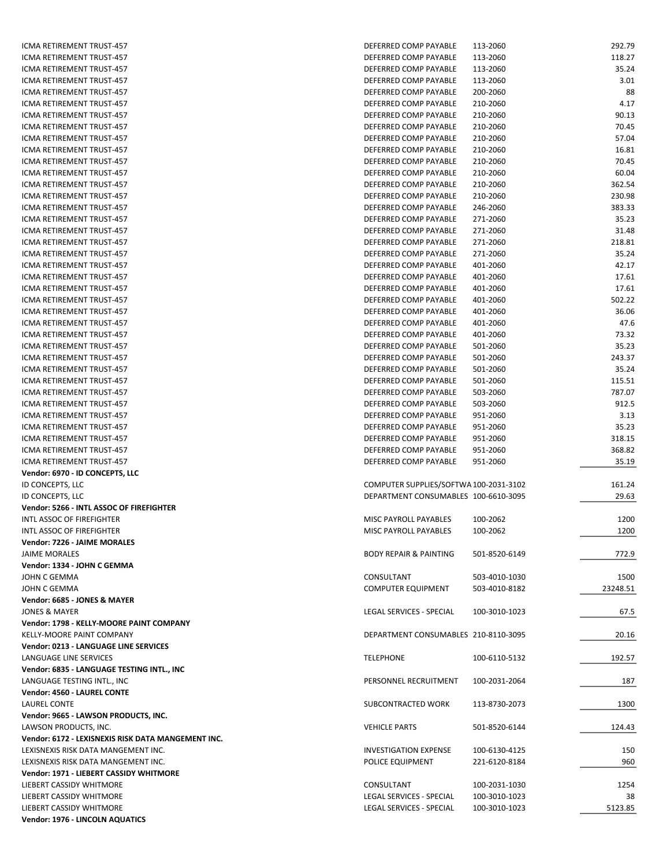| ICMA RETIREMENT TRUST-457                          | DEFERRED COMP PAYABLE                  | 113-2060      | 292.79   |
|----------------------------------------------------|----------------------------------------|---------------|----------|
| ICMA RETIREMENT TRUST-457                          | DEFERRED COMP PAYABLE                  | 113-2060      | 118.27   |
| ICMA RETIREMENT TRUST-457                          | DEFERRED COMP PAYABLE                  | 113-2060      | 35.24    |
| ICMA RETIREMENT TRUST-457                          | DEFERRED COMP PAYABLE                  | 113-2060      | 3.01     |
| ICMA RETIREMENT TRUST-457                          | DEFERRED COMP PAYABLE                  | 200-2060      | 88       |
| ICMA RETIREMENT TRUST-457                          | DEFERRED COMP PAYABLE                  |               | 4.17     |
|                                                    |                                        | 210-2060      |          |
| ICMA RETIREMENT TRUST-457                          | DEFERRED COMP PAYABLE                  | 210-2060      | 90.13    |
| ICMA RETIREMENT TRUST-457                          | DEFERRED COMP PAYABLE                  | 210-2060      | 70.45    |
| ICMA RETIREMENT TRUST-457                          | DEFERRED COMP PAYABLE                  | 210-2060      | 57.04    |
| ICMA RETIREMENT TRUST-457                          | DEFERRED COMP PAYABLE                  | 210-2060      | 16.81    |
| ICMA RETIREMENT TRUST-457                          | DEFERRED COMP PAYABLE                  | 210-2060      | 70.45    |
| ICMA RETIREMENT TRUST-457                          | DEFERRED COMP PAYABLE                  | 210-2060      | 60.04    |
| <b>ICMA RETIREMENT TRUST-457</b>                   | DEFERRED COMP PAYABLE                  | 210-2060      | 362.54   |
| ICMA RETIREMENT TRUST-457                          | DEFERRED COMP PAYABLE                  | 210-2060      | 230.98   |
|                                                    |                                        |               |          |
| ICMA RETIREMENT TRUST-457                          | DEFERRED COMP PAYABLE                  | 246-2060      | 383.33   |
| ICMA RETIREMENT TRUST-457                          | DEFERRED COMP PAYABLE                  | 271-2060      | 35.23    |
| ICMA RETIREMENT TRUST-457                          | DEFERRED COMP PAYABLE                  | 271-2060      | 31.48    |
| ICMA RETIREMENT TRUST-457                          | DEFERRED COMP PAYABLE                  | 271-2060      | 218.81   |
| ICMA RETIREMENT TRUST-457                          | DEFERRED COMP PAYABLE                  | 271-2060      | 35.24    |
| ICMA RETIREMENT TRUST-457                          | DEFERRED COMP PAYABLE                  | 401-2060      | 42.17    |
| ICMA RETIREMENT TRUST-457                          | DEFERRED COMP PAYABLE                  | 401-2060      | 17.61    |
| <b>ICMA RETIREMENT TRUST-457</b>                   | DEFERRED COMP PAYABLE                  | 401-2060      | 17.61    |
| ICMA RETIREMENT TRUST-457                          | DEFERRED COMP PAYABLE                  | 401-2060      | 502.22   |
|                                                    |                                        |               |          |
| ICMA RETIREMENT TRUST-457                          | DEFERRED COMP PAYABLE                  | 401-2060      | 36.06    |
| ICMA RETIREMENT TRUST-457                          | DEFERRED COMP PAYABLE                  | 401-2060      | 47.6     |
| ICMA RETIREMENT TRUST-457                          | DEFERRED COMP PAYABLE                  | 401-2060      | 73.32    |
| ICMA RETIREMENT TRUST-457                          | DEFERRED COMP PAYABLE                  | 501-2060      | 35.23    |
| ICMA RETIREMENT TRUST-457                          | DEFERRED COMP PAYABLE                  | 501-2060      | 243.37   |
| ICMA RETIREMENT TRUST-457                          | DEFERRED COMP PAYABLE                  | 501-2060      | 35.24    |
| ICMA RETIREMENT TRUST-457                          | DEFERRED COMP PAYABLE                  | 501-2060      | 115.51   |
| ICMA RETIREMENT TRUST-457                          | DEFERRED COMP PAYABLE                  | 503-2060      | 787.07   |
| ICMA RETIREMENT TRUST-457                          | DEFERRED COMP PAYABLE                  |               | 912.5    |
|                                                    |                                        | 503-2060      |          |
| ICMA RETIREMENT TRUST-457                          | DEFERRED COMP PAYABLE                  | 951-2060      | 3.13     |
| ICMA RETIREMENT TRUST-457                          | DEFERRED COMP PAYABLE                  | 951-2060      | 35.23    |
| ICMA RETIREMENT TRUST-457                          | DEFERRED COMP PAYABLE                  | 951-2060      | 318.15   |
| ICMA RETIREMENT TRUST-457                          | DEFERRED COMP PAYABLE                  | 951-2060      | 368.82   |
| ICMA RETIREMENT TRUST-457                          | DEFERRED COMP PAYABLE                  | 951-2060      | 35.19    |
| Vendor: 6970 - ID CONCEPTS, LLC                    |                                        |               |          |
| ID CONCEPTS, LLC                                   | COMPUTER SUPPLIES/SOFTWA 100-2031-3102 |               | 161.24   |
| ID CONCEPTS, LLC                                   | DEPARTMENT CONSUMABLES 100-6610-3095   |               | 29.63    |
| Vendor: 5266 - INTL ASSOC OF FIREFIGHTER           |                                        |               |          |
|                                                    |                                        |               |          |
| INTL ASSOC OF FIREFIGHTER                          | MISC PAYROLL PAYABLES                  | 100-2062      | 1200     |
| INTL ASSOC OF FIREFIGHTER                          | MISC PAYROLL PAYABLES                  | 100-2062      | 1200     |
| Vendor: 7226 - JAIME MORALES                       |                                        |               |          |
| <b>JAIME MORALES</b>                               | <b>BODY REPAIR &amp; PAINTING</b>      | 501-8520-6149 | 772.9    |
| Vendor: 1334 - JOHN C GEMMA                        |                                        |               |          |
| JOHN C GEMMA                                       | CONSULTANT                             | 503-4010-1030 | 1500     |
| JOHN C GEMMA                                       | <b>COMPUTER EQUIPMENT</b>              | 503-4010-8182 | 23248.51 |
| Vendor: 6685 - JONES & MAYER                       |                                        |               |          |
| JONES & MAYER                                      | LEGAL SERVICES - SPECIAL               | 100-3010-1023 | 67.5     |
|                                                    |                                        |               |          |
| Vendor: 1798 - KELLY-MOORE PAINT COMPANY           |                                        |               |          |
| KELLY-MOORE PAINT COMPANY                          | DEPARTMENT CONSUMABLES 210-8110-3095   |               | 20.16    |
| <b>Vendor: 0213 - LANGUAGE LINE SERVICES</b>       |                                        |               |          |
| LANGUAGE LINE SERVICES                             | <b>TELEPHONE</b>                       | 100-6110-5132 | 192.57   |
| Vendor: 6835 - LANGUAGE TESTING INTL., INC         |                                        |               |          |
| LANGUAGE TESTING INTL., INC                        | PERSONNEL RECRUITMENT                  | 100-2031-2064 | 187      |
| Vendor: 4560 - LAUREL CONTE                        |                                        |               |          |
| LAUREL CONTE                                       | SUBCONTRACTED WORK                     | 113-8730-2073 | 1300     |
| Vendor: 9665 - LAWSON PRODUCTS, INC.               |                                        |               |          |
|                                                    |                                        |               |          |
| LAWSON PRODUCTS, INC.                              | <b>VEHICLE PARTS</b>                   | 501-8520-6144 | 124.43   |
| Vendor: 6172 - LEXISNEXIS RISK DATA MANGEMENT INC. |                                        |               |          |
| LEXISNEXIS RISK DATA MANGEMENT INC.                | <b>INVESTIGATION EXPENSE</b>           | 100-6130-4125 | 150      |
| LEXISNEXIS RISK DATA MANGEMENT INC.                | POLICE EQUIPMENT                       | 221-6120-8184 | 960      |
| Vendor: 1971 - LIEBERT CASSIDY WHITMORE            |                                        |               |          |
| LIEBERT CASSIDY WHITMORE                           | CONSULTANT                             | 100-2031-1030 | 1254     |
| LIEBERT CASSIDY WHITMORE                           | LEGAL SERVICES - SPECIAL               | 100-3010-1023 | 38       |
| LIEBERT CASSIDY WHITMORE                           | LEGAL SERVICES - SPECIAL               | 100-3010-1023 | 5123.85  |
| Vendor: 1976 - LINCOLN AQUATICS                    |                                        |               |          |
|                                                    |                                        |               |          |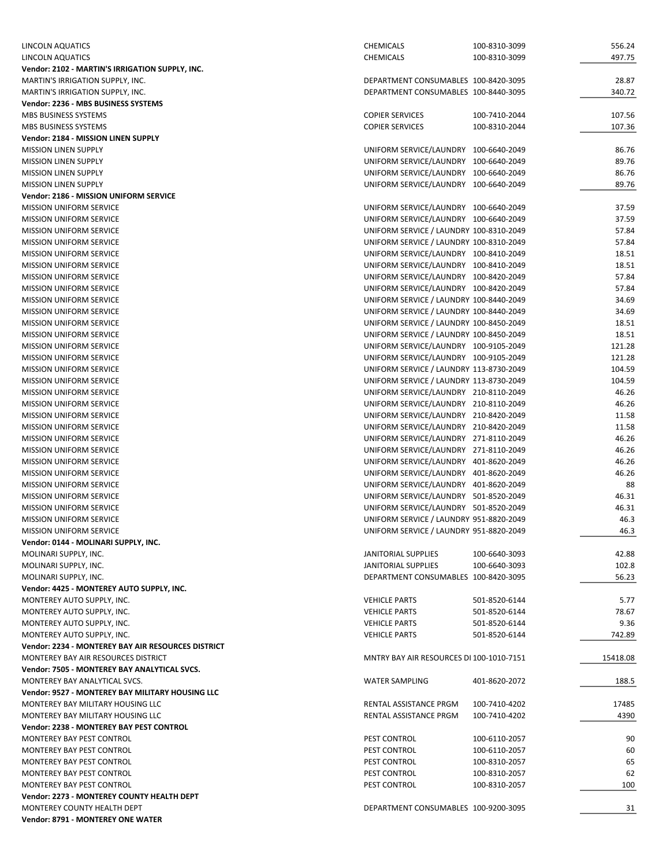| LINCOLN AQUATICS                                   | CHEMICALS<br>100-8310-3099               | 556.24   |
|----------------------------------------------------|------------------------------------------|----------|
| LINCOLN AQUATICS                                   | <b>CHEMICALS</b><br>100-8310-3099        | 497.75   |
| Vendor: 2102 - MARTIN'S IRRIGATION SUPPLY, INC.    |                                          |          |
| MARTIN'S IRRIGATION SUPPLY, INC.                   | DEPARTMENT CONSUMABLES 100-8420-3095     | 28.87    |
| MARTIN'S IRRIGATION SUPPLY, INC.                   | DEPARTMENT CONSUMABLES 100-8440-3095     | 340.72   |
| Vendor: 2236 - MBS BUSINESS SYSTEMS                |                                          |          |
| MBS BUSINESS SYSTEMS                               | <b>COPIER SERVICES</b><br>100-7410-2044  | 107.56   |
| MBS BUSINESS SYSTEMS                               | <b>COPIER SERVICES</b><br>100-8310-2044  | 107.36   |
| Vendor: 2184 - MISSION LINEN SUPPLY                |                                          |          |
| <b>MISSION LINEN SUPPLY</b>                        | UNIFORM SERVICE/LAUNDRY 100-6640-2049    | 86.76    |
|                                                    | UNIFORM SERVICE/LAUNDRY 100-6640-2049    | 89.76    |
| <b>MISSION LINEN SUPPLY</b>                        |                                          |          |
| <b>MISSION LINEN SUPPLY</b>                        | UNIFORM SERVICE/LAUNDRY 100-6640-2049    | 86.76    |
| <b>MISSION LINEN SUPPLY</b>                        | UNIFORM SERVICE/LAUNDRY 100-6640-2049    | 89.76    |
| Vendor: 2186 - MISSION UNIFORM SERVICE             |                                          |          |
| <b>MISSION UNIFORM SERVICE</b>                     | UNIFORM SERVICE/LAUNDRY 100-6640-2049    | 37.59    |
| MISSION UNIFORM SERVICE                            | UNIFORM SERVICE/LAUNDRY 100-6640-2049    | 37.59    |
| MISSION UNIFORM SERVICE                            | UNIFORM SERVICE / LAUNDRY 100-8310-2049  | 57.84    |
| <b>MISSION UNIFORM SERVICE</b>                     | UNIFORM SERVICE / LAUNDRY 100-8310-2049  | 57.84    |
| MISSION UNIFORM SERVICE                            | UNIFORM SERVICE/LAUNDRY 100-8410-2049    | 18.51    |
| MISSION UNIFORM SERVICE                            | UNIFORM SERVICE/LAUNDRY 100-8410-2049    | 18.51    |
| <b>MISSION UNIFORM SERVICE</b>                     | UNIFORM SERVICE/LAUNDRY 100-8420-2049    | 57.84    |
| <b>MISSION UNIFORM SERVICE</b>                     | UNIFORM SERVICE/LAUNDRY 100-8420-2049    | 57.84    |
| <b>MISSION UNIFORM SERVICE</b>                     | UNIFORM SERVICE / LAUNDRY 100-8440-2049  | 34.69    |
| <b>MISSION UNIFORM SERVICE</b>                     | UNIFORM SERVICE / LAUNDRY 100-8440-2049  | 34.69    |
| <b>MISSION UNIFORM SERVICE</b>                     | UNIFORM SERVICE / LAUNDRY 100-8450-2049  | 18.51    |
| <b>MISSION UNIFORM SERVICE</b>                     | UNIFORM SERVICE / LAUNDRY 100-8450-2049  | 18.51    |
| <b>MISSION UNIFORM SERVICE</b>                     | UNIFORM SERVICE/LAUNDRY 100-9105-2049    | 121.28   |
| <b>MISSION UNIFORM SERVICE</b>                     | UNIFORM SERVICE/LAUNDRY 100-9105-2049    | 121.28   |
| <b>MISSION UNIFORM SERVICE</b>                     | UNIFORM SERVICE / LAUNDRY 113-8730-2049  | 104.59   |
| <b>MISSION UNIFORM SERVICE</b>                     | UNIFORM SERVICE / LAUNDRY 113-8730-2049  | 104.59   |
| <b>MISSION UNIFORM SERVICE</b>                     | UNIFORM SERVICE/LAUNDRY 210-8110-2049    | 46.26    |
| <b>MISSION UNIFORM SERVICE</b>                     | UNIFORM SERVICE/LAUNDRY 210-8110-2049    | 46.26    |
| <b>MISSION UNIFORM SERVICE</b>                     | UNIFORM SERVICE/LAUNDRY 210-8420-2049    | 11.58    |
| <b>MISSION UNIFORM SERVICE</b>                     | UNIFORM SERVICE/LAUNDRY 210-8420-2049    | 11.58    |
| <b>MISSION UNIFORM SERVICE</b>                     | UNIFORM SERVICE/LAUNDRY 271-8110-2049    | 46.26    |
| MISSION UNIFORM SERVICE                            | UNIFORM SERVICE/LAUNDRY 271-8110-2049    | 46.26    |
| <b>MISSION UNIFORM SERVICE</b>                     | UNIFORM SERVICE/LAUNDRY 401-8620-2049    | 46.26    |
| <b>MISSION UNIFORM SERVICE</b>                     | UNIFORM SERVICE/LAUNDRY 401-8620-2049    | 46.26    |
| <b>MISSION UNIFORM SERVICE</b>                     | UNIFORM SERVICE/LAUNDRY 401-8620-2049    | 88       |
|                                                    |                                          |          |
| MISSION UNIFORM SERVICE                            | UNIFORM SERVICE/LAUNDRY 501-8520-2049    | 46.31    |
| <b>MISSION UNIFORM SERVICE</b>                     | UNIFORM SERVICE/LAUNDRY 501-8520-2049    | 46.31    |
| <b>MISSION UNIFORM SERVICE</b>                     | UNIFORM SERVICE / LAUNDRY 951-8820-2049  | 46.3     |
| <b>MISSION UNIFORM SERVICE</b>                     | UNIFORM SERVICE / LAUNDRY 951-8820-2049  | 46.3     |
| Vendor: 0144 - MOLINARI SUPPLY, INC.               |                                          |          |
| MOLINARI SUPPLY, INC.                              | JANITORIAL SUPPLIES<br>100-6640-3093     | 42.88    |
| MOLINARI SUPPLY, INC.                              | JANITORIAL SUPPLIES<br>100-6640-3093     | 102.8    |
| MOLINARI SUPPLY, INC.                              | DEPARTMENT CONSUMABLES 100-8420-3095     | 56.23    |
| Vendor: 4425 - MONTEREY AUTO SUPPLY, INC.          |                                          |          |
| MONTEREY AUTO SUPPLY, INC.                         | <b>VEHICLE PARTS</b><br>501-8520-6144    | 5.77     |
| MONTEREY AUTO SUPPLY, INC.                         | <b>VEHICLE PARTS</b><br>501-8520-6144    | 78.67    |
| MONTEREY AUTO SUPPLY, INC.                         | <b>VEHICLE PARTS</b><br>501-8520-6144    | 9.36     |
| MONTEREY AUTO SUPPLY, INC.                         | <b>VEHICLE PARTS</b><br>501-8520-6144    | 742.89   |
| Vendor: 2234 - MONTEREY BAY AIR RESOURCES DISTRICT |                                          |          |
| MONTEREY BAY AIR RESOURCES DISTRICT                | MNTRY BAY AIR RESOURCES DI 100-1010-7151 | 15418.08 |
| Vendor: 7505 - MONTEREY BAY ANALYTICAL SVCS.       |                                          |          |
| MONTEREY BAY ANALYTICAL SVCS.                      | <b>WATER SAMPLING</b><br>401-8620-2072   | 188.5    |
| Vendor: 9527 - MONTEREY BAY MILITARY HOUSING LLC   |                                          |          |
| MONTEREY BAY MILITARY HOUSING LLC                  | RENTAL ASSISTANCE PRGM<br>100-7410-4202  | 17485    |
| MONTEREY BAY MILITARY HOUSING LLC                  | RENTAL ASSISTANCE PRGM<br>100-7410-4202  | 4390     |
| Vendor: 2238 - MONTEREY BAY PEST CONTROL           |                                          |          |
| MONTEREY BAY PEST CONTROL                          | PEST CONTROL<br>100-6110-2057            | 90       |
| MONTEREY BAY PEST CONTROL                          | PEST CONTROL<br>100-6110-2057            | 60       |
| MONTEREY BAY PEST CONTROL                          | PEST CONTROL<br>100-8310-2057            | 65       |
| MONTEREY BAY PEST CONTROL                          | PEST CONTROL<br>100-8310-2057            | 62       |
| MONTEREY BAY PEST CONTROL                          | PEST CONTROL<br>100-8310-2057            | 100      |
| Vendor: 2273 - MONTEREY COUNTY HEALTH DEPT         |                                          |          |
| MONTEREY COUNTY HEALTH DEPT                        | DEPARTMENT CONSUMABLES 100-9200-3095     | 31       |
| Vendor: 8791 - MONTEREY ONE WATER                  |                                          |          |
|                                                    |                                          |          |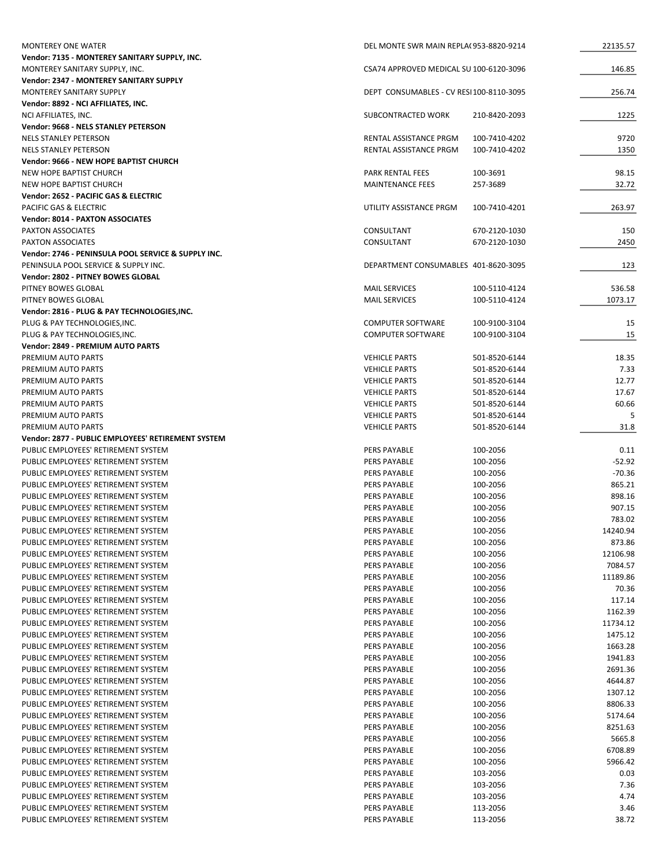| <b>MONTEREY ONE WATER</b>                                                  | DEL MONTE SWR MAIN REPLA(953-8820-9214  |                      | 22135.57           |
|----------------------------------------------------------------------------|-----------------------------------------|----------------------|--------------------|
| Vendor: 7135 - MONTEREY SANITARY SUPPLY, INC.                              |                                         |                      |                    |
| MONTEREY SANITARY SUPPLY, INC.                                             | CSA74 APPROVED MEDICAL SU 100-6120-3096 |                      | 146.85             |
| <b>Vendor: 2347 - MONTEREY SANITARY SUPPLY</b>                             |                                         |                      |                    |
| MONTEREY SANITARY SUPPLY                                                   | DEPT CONSUMABLES - CV RESI100-8110-3095 |                      | 256.74             |
| Vendor: 8892 - NCI AFFILIATES, INC.                                        |                                         |                      |                    |
| NCI AFFILIATES, INC.                                                       | SUBCONTRACTED WORK                      | 210-8420-2093        | 1225               |
| Vendor: 9668 - NELS STANLEY PETERSON                                       |                                         |                      |                    |
| NELS STANLEY PETERSON                                                      | RENTAL ASSISTANCE PRGM                  | 100-7410-4202        | 9720               |
| <b>NELS STANLEY PETERSON</b>                                               | RENTAL ASSISTANCE PRGM                  | 100-7410-4202        | 1350               |
| Vendor: 9666 - NEW HOPE BAPTIST CHURCH                                     | <b>PARK RENTAL FEES</b>                 | 100-3691             |                    |
| NEW HOPE BAPTIST CHURCH<br>NEW HOPE BAPTIST CHURCH                         | <b>MAINTENANCE FEES</b>                 | 257-3689             | 98.15<br>32.72     |
| Vendor: 2652 - PACIFIC GAS & ELECTRIC                                      |                                         |                      |                    |
| <b>PACIFIC GAS &amp; ELECTRIC</b>                                          | UTILITY ASSISTANCE PRGM                 | 100-7410-4201        | 263.97             |
| <b>Vendor: 8014 - PAXTON ASSOCIATES</b>                                    |                                         |                      |                    |
| PAXTON ASSOCIATES                                                          | CONSULTANT                              | 670-2120-1030        | 150                |
| PAXTON ASSOCIATES                                                          | CONSULTANT                              | 670-2120-1030        | 2450               |
| Vendor: 2746 - PENINSULA POOL SERVICE & SUPPLY INC.                        |                                         |                      |                    |
| PENINSULA POOL SERVICE & SUPPLY INC.                                       | DEPARTMENT CONSUMABLES 401-8620-3095    |                      | 123                |
| Vendor: 2802 - PITNEY BOWES GLOBAL                                         |                                         |                      |                    |
| PITNEY BOWES GLOBAL                                                        | <b>MAIL SERVICES</b>                    | 100-5110-4124        | 536.58             |
| PITNEY BOWES GLOBAL                                                        | <b>MAIL SERVICES</b>                    | 100-5110-4124        | 1073.17            |
| Vendor: 2816 - PLUG & PAY TECHNOLOGIES, INC.                               |                                         |                      |                    |
| PLUG & PAY TECHNOLOGIES, INC.                                              | <b>COMPUTER SOFTWARE</b>                | 100-9100-3104        | 15                 |
| PLUG & PAY TECHNOLOGIES, INC.                                              | <b>COMPUTER SOFTWARE</b>                | 100-9100-3104        | 15                 |
| Vendor: 2849 - PREMIUM AUTO PARTS                                          |                                         |                      |                    |
| PREMIUM AUTO PARTS                                                         | <b>VEHICLE PARTS</b>                    | 501-8520-6144        | 18.35              |
| PREMIUM AUTO PARTS                                                         | <b>VEHICLE PARTS</b>                    | 501-8520-6144        | 7.33               |
| PREMIUM AUTO PARTS                                                         | <b>VEHICLE PARTS</b>                    | 501-8520-6144        | 12.77              |
| PREMIUM AUTO PARTS                                                         | <b>VEHICLE PARTS</b>                    | 501-8520-6144        | 17.67              |
| PREMIUM AUTO PARTS                                                         | <b>VEHICLE PARTS</b>                    | 501-8520-6144        | 60.66              |
| PREMIUM AUTO PARTS                                                         | <b>VEHICLE PARTS</b>                    | 501-8520-6144        |                    |
| PREMIUM AUTO PARTS                                                         | <b>VEHICLE PARTS</b>                    | 501-8520-6144        | 31.8               |
| Vendor: 2877 - PUBLIC EMPLOYEES' RETIREMENT SYSTEM                         |                                         |                      |                    |
| PUBLIC EMPLOYEES' RETIREMENT SYSTEM                                        | <b>PERS PAYABLE</b>                     | 100-2056             | 0.11               |
| PUBLIC EMPLOYEES' RETIREMENT SYSTEM                                        | <b>PERS PAYABLE</b>                     | 100-2056             | $-52.92$           |
| PUBLIC EMPLOYEES' RETIREMENT SYSTEM                                        | PERS PAYABLE                            | 100-2056             | $-70.36$           |
| PUBLIC EMPLOYEES' RETIREMENT SYSTEM                                        | PERS PAYABLE                            | 100-2056             | 865.21             |
| PUBLIC EMPLOYEES' RETIREMENT SYSTEM                                        | <b>PERS PAYABLE</b>                     | 100-2056             | 898.16             |
| PUBLIC EMPLOYEES' RETIREMENT SYSTEM                                        | PERS PAYABLE                            | 100-2056             | 907.15             |
| PUBLIC EMPLOYEES' RETIREMENT SYSTEM                                        | PERS PAYABLE                            | 100-2056             | 783.02             |
| PUBLIC EMPLOYEES' RETIREMENT SYSTEM                                        | PERS PAYABLE                            | 100-2056             | 14240.94           |
| PUBLIC EMPLOYEES' RETIREMENT SYSTEM                                        | PERS PAYABLE                            | 100-2056             | 873.86             |
| PUBLIC EMPLOYEES' RETIREMENT SYSTEM                                        | PERS PAYABLE                            | 100-2056             | 12106.98           |
| PUBLIC EMPLOYEES' RETIREMENT SYSTEM                                        | PERS PAYABLE                            | 100-2056             | 7084.57            |
| PUBLIC EMPLOYEES' RETIREMENT SYSTEM                                        | PERS PAYABLE                            | 100-2056             | 11189.86           |
| PUBLIC EMPLOYEES' RETIREMENT SYSTEM                                        | PERS PAYABLE                            | 100-2056             | 70.36              |
| PUBLIC EMPLOYEES' RETIREMENT SYSTEM                                        | PERS PAYABLE                            | 100-2056             | 117.14             |
| PUBLIC EMPLOYEES' RETIREMENT SYSTEM                                        | PERS PAYABLE                            | 100-2056             | 1162.39            |
| PUBLIC EMPLOYEES' RETIREMENT SYSTEM<br>PUBLIC EMPLOYEES' RETIREMENT SYSTEM | PERS PAYABLE                            | 100-2056             | 11734.12           |
| PUBLIC EMPLOYEES' RETIREMENT SYSTEM                                        | PERS PAYABLE<br><b>PERS PAYABLE</b>     | 100-2056             | 1475.12<br>1663.28 |
| PUBLIC EMPLOYEES' RETIREMENT SYSTEM                                        | PERS PAYABLE                            | 100-2056<br>100-2056 | 1941.83            |
| PUBLIC EMPLOYEES' RETIREMENT SYSTEM                                        | PERS PAYABLE                            | 100-2056             | 2691.36            |
| PUBLIC EMPLOYEES' RETIREMENT SYSTEM                                        | PERS PAYABLE                            | 100-2056             | 4644.87            |
| PUBLIC EMPLOYEES' RETIREMENT SYSTEM                                        | PERS PAYABLE                            | 100-2056             | 1307.12            |
| PUBLIC EMPLOYEES' RETIREMENT SYSTEM                                        | PERS PAYABLE                            | 100-2056             | 8806.33            |
| PUBLIC EMPLOYEES' RETIREMENT SYSTEM                                        | PERS PAYABLE                            | 100-2056             | 5174.64            |
| PUBLIC EMPLOYEES' RETIREMENT SYSTEM                                        | PERS PAYABLE                            | 100-2056             | 8251.63            |
| PUBLIC EMPLOYEES' RETIREMENT SYSTEM                                        | PERS PAYABLE                            | 100-2056             | 5665.8             |
| PUBLIC EMPLOYEES' RETIREMENT SYSTEM                                        | PERS PAYABLE                            | 100-2056             | 6708.89            |
| PUBLIC EMPLOYEES' RETIREMENT SYSTEM                                        | PERS PAYABLE                            | 100-2056             | 5966.42            |
| PUBLIC EMPLOYEES' RETIREMENT SYSTEM                                        | PERS PAYABLE                            | 103-2056             | 0.03               |
| PUBLIC EMPLOYEES' RETIREMENT SYSTEM                                        | PERS PAYABLE                            | 103-2056             | 7.36               |
| PUBLIC EMPLOYEES' RETIREMENT SYSTEM                                        | PERS PAYABLE                            | 103-2056             | 4.74               |
| PUBLIC EMPLOYEES' RETIREMENT SYSTEM                                        | PERS PAYABLE                            | 113-2056             | 3.46               |
| PUBLIC EMPLOYEES' RETIREMENT SYSTEM                                        | PERS PAYABLE                            | 113-2056             | 38.72              |
|                                                                            |                                         |                      |                    |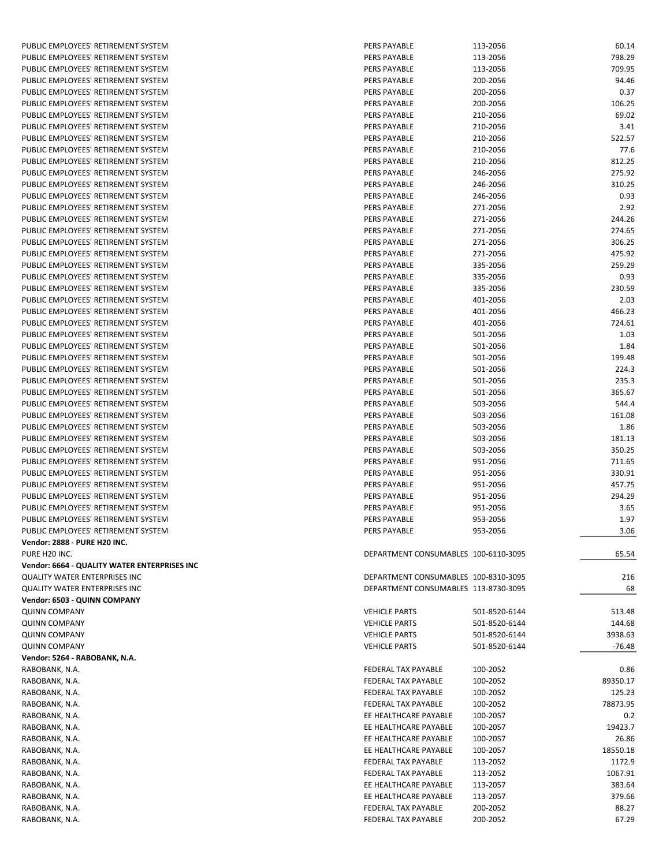| PUBLIC EMPLOYEES' RETIREMENT SYSTEM          | PERS PAYABLE                         | 113-2056      | 60.14    |
|----------------------------------------------|--------------------------------------|---------------|----------|
| PUBLIC EMPLOYEES' RETIREMENT SYSTEM          | <b>PERS PAYABLE</b>                  | 113-2056      | 798.29   |
| PUBLIC EMPLOYEES' RETIREMENT SYSTEM          | PERS PAYABLE                         | 113-2056      | 709.95   |
| PUBLIC EMPLOYEES' RETIREMENT SYSTEM          | PERS PAYABLE                         | 200-2056      | 94.46    |
| PUBLIC EMPLOYEES' RETIREMENT SYSTEM          | PERS PAYABLE                         | 200-2056      | 0.37     |
| PUBLIC EMPLOYEES' RETIREMENT SYSTEM          | PERS PAYABLE                         | 200-2056      | 106.25   |
|                                              |                                      |               |          |
| PUBLIC EMPLOYEES' RETIREMENT SYSTEM          | PERS PAYABLE                         | 210-2056      | 69.02    |
| PUBLIC EMPLOYEES' RETIREMENT SYSTEM          | <b>PERS PAYABLE</b>                  | 210-2056      | 3.41     |
| PUBLIC EMPLOYEES' RETIREMENT SYSTEM          | PERS PAYABLE                         | 210-2056      | 522.57   |
| PUBLIC EMPLOYEES' RETIREMENT SYSTEM          | PERS PAYABLE                         | 210-2056      | 77.6     |
| PUBLIC EMPLOYEES' RETIREMENT SYSTEM          | PERS PAYABLE                         | 210-2056      | 812.25   |
| PUBLIC EMPLOYEES' RETIREMENT SYSTEM          | PERS PAYABLE                         | 246-2056      | 275.92   |
| PUBLIC EMPLOYEES' RETIREMENT SYSTEM          | PERS PAYABLE                         | 246-2056      | 310.25   |
| PUBLIC EMPLOYEES' RETIREMENT SYSTEM          | PERS PAYABLE                         | 246-2056      | 0.93     |
|                                              |                                      |               |          |
| PUBLIC EMPLOYEES' RETIREMENT SYSTEM          | PERS PAYABLE                         | 271-2056      | 2.92     |
| PUBLIC EMPLOYEES' RETIREMENT SYSTEM          | PERS PAYABLE                         | 271-2056      | 244.26   |
| PUBLIC EMPLOYEES' RETIREMENT SYSTEM          | PERS PAYABLE                         | 271-2056      | 274.65   |
| PUBLIC EMPLOYEES' RETIREMENT SYSTEM          | PERS PAYABLE                         | 271-2056      | 306.25   |
| PUBLIC EMPLOYEES' RETIREMENT SYSTEM          | PERS PAYABLE                         | 271-2056      | 475.92   |
| PUBLIC EMPLOYEES' RETIREMENT SYSTEM          | PERS PAYABLE                         | 335-2056      | 259.29   |
| PUBLIC EMPLOYEES' RETIREMENT SYSTEM          | PERS PAYABLE                         | 335-2056      | 0.93     |
| PUBLIC EMPLOYEES' RETIREMENT SYSTEM          | PERS PAYABLE                         | 335-2056      | 230.59   |
| PUBLIC EMPLOYEES' RETIREMENT SYSTEM          | PERS PAYABLE                         | 401-2056      | 2.03     |
|                                              |                                      |               |          |
| PUBLIC EMPLOYEES' RETIREMENT SYSTEM          | PERS PAYABLE                         | 401-2056      | 466.23   |
| PUBLIC EMPLOYEES' RETIREMENT SYSTEM          | PERS PAYABLE                         | 401-2056      | 724.61   |
| PUBLIC EMPLOYEES' RETIREMENT SYSTEM          | PERS PAYABLE                         | 501-2056      | 1.03     |
| PUBLIC EMPLOYEES' RETIREMENT SYSTEM          | PERS PAYABLE                         | 501-2056      | 1.84     |
| PUBLIC EMPLOYEES' RETIREMENT SYSTEM          | PERS PAYABLE                         | 501-2056      | 199.48   |
| PUBLIC EMPLOYEES' RETIREMENT SYSTEM          | PERS PAYABLE                         | 501-2056      | 224.3    |
| PUBLIC EMPLOYEES' RETIREMENT SYSTEM          | PERS PAYABLE                         | 501-2056      | 235.3    |
| PUBLIC EMPLOYEES' RETIREMENT SYSTEM          | PERS PAYABLE                         | 501-2056      | 365.67   |
|                                              |                                      |               |          |
| PUBLIC EMPLOYEES' RETIREMENT SYSTEM          | PERS PAYABLE                         | 503-2056      | 544.4    |
| PUBLIC EMPLOYEES' RETIREMENT SYSTEM          | <b>PERS PAYABLE</b>                  | 503-2056      | 161.08   |
| PUBLIC EMPLOYEES' RETIREMENT SYSTEM          | PERS PAYABLE                         | 503-2056      | 1.86     |
| PUBLIC EMPLOYEES' RETIREMENT SYSTEM          | PERS PAYABLE                         | 503-2056      | 181.13   |
| PUBLIC EMPLOYEES' RETIREMENT SYSTEM          | PERS PAYABLE                         | 503-2056      | 350.25   |
| PUBLIC EMPLOYEES' RETIREMENT SYSTEM          | PERS PAYABLE                         | 951-2056      | 711.65   |
| PUBLIC EMPLOYEES' RETIREMENT SYSTEM          | PERS PAYABLE                         | 951-2056      | 330.91   |
| PUBLIC EMPLOYEES' RETIREMENT SYSTEM          | PERS PAYABLE                         | 951-2056      | 457.75   |
|                                              |                                      |               |          |
| PUBLIC EMPLOYEES' RETIREMENT SYSTEM          | PERS PAYABLE                         | 951-2056      | 294.29   |
| PUBLIC EMPLOYEES' RETIREMENT SYSTEM          | <b>PERS PAYABLE</b>                  | 951-2056      | 3.65     |
| PUBLIC EMPLOYEES' RETIREMENT SYSTEM          | PERS PAYABLE                         | 953-2056      | 1.97     |
| PUBLIC EMPLOYEES' RETIREMENT SYSTEM          | PERS PAYABLE                         | 953-2056      | 3.06     |
| Vendor: 2888 - PURE H20 INC.                 |                                      |               |          |
| PURE H20 INC.                                | DEPARTMENT CONSUMABLES 100-6110-3095 |               | 65.54    |
| Vendor: 6664 - QUALITY WATER ENTERPRISES INC |                                      |               |          |
| QUALITY WATER ENTERPRISES INC                | DEPARTMENT CONSUMABLES 100-8310-3095 |               | 216      |
|                                              | DEPARTMENT CONSUMABLES 113-8730-3095 |               |          |
| QUALITY WATER ENTERPRISES INC                |                                      |               | 68       |
| Vendor: 6503 - QUINN COMPANY                 |                                      |               |          |
| QUINN COMPANY                                | <b>VEHICLE PARTS</b>                 | 501-8520-6144 | 513.48   |
| QUINN COMPANY                                | <b>VEHICLE PARTS</b>                 | 501-8520-6144 | 144.68   |
| QUINN COMPANY                                | <b>VEHICLE PARTS</b>                 | 501-8520-6144 | 3938.63  |
| QUINN COMPANY                                | <b>VEHICLE PARTS</b>                 | 501-8520-6144 | $-76.48$ |
| Vendor: 5264 - RABOBANK, N.A.                |                                      |               |          |
| RABOBANK, N.A.                               | FEDERAL TAX PAYABLE                  | 100-2052      | 0.86     |
| RABOBANK, N.A.                               | FEDERAL TAX PAYABLE                  | 100-2052      | 89350.17 |
|                                              |                                      |               |          |
| RABOBANK, N.A.                               | FEDERAL TAX PAYABLE                  | 100-2052      | 125.23   |
| RABOBANK, N.A.                               | FEDERAL TAX PAYABLE                  | 100-2052      | 78873.95 |
| RABOBANK, N.A.                               | EE HEALTHCARE PAYABLE                | 100-2057      | 0.2      |
| RABOBANK, N.A.                               | EE HEALTHCARE PAYABLE                | 100-2057      | 19423.7  |
| RABOBANK, N.A.                               | EE HEALTHCARE PAYABLE                | 100-2057      | 26.86    |
| RABOBANK, N.A.                               | EE HEALTHCARE PAYABLE                | 100-2057      | 18550.18 |
| RABOBANK, N.A.                               | FEDERAL TAX PAYABLE                  | 113-2052      | 1172.9   |
| RABOBANK, N.A.                               | FEDERAL TAX PAYABLE                  | 113-2052      | 1067.91  |
|                                              |                                      |               |          |
| RABOBANK, N.A.                               | EE HEALTHCARE PAYABLE                | 113-2057      | 383.64   |
| RABOBANK, N.A.                               | EE HEALTHCARE PAYABLE                | 113-2057      | 379.66   |
| RABOBANK, N.A.                               | FEDERAL TAX PAYABLE                  | 200-2052      | 88.27    |
| RABOBANK, N.A.                               | FEDERAL TAX PAYABLE                  | 200-2052      | 67.29    |
|                                              |                                      |               |          |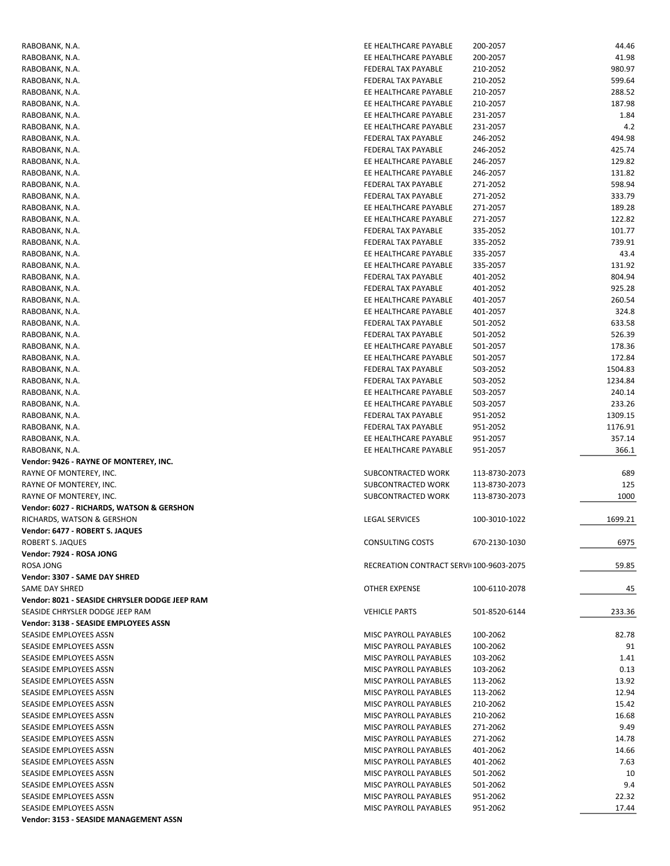| RABOBANK, N.A.                                 | EE HEALTHCARE PAYABLE                   | 200-2057      | 44.46   |
|------------------------------------------------|-----------------------------------------|---------------|---------|
| RABOBANK, N.A.                                 | EE HEALTHCARE PAYABLE                   | 200-2057      | 41.98   |
| RABOBANK, N.A.                                 | FEDERAL TAX PAYABLE                     | 210-2052      | 980.97  |
| RABOBANK, N.A.                                 | FEDERAL TAX PAYABLE                     | 210-2052      | 599.64  |
|                                                | EE HEALTHCARE PAYABLE                   | 210-2057      | 288.52  |
| RABOBANK, N.A.                                 |                                         |               |         |
| RABOBANK, N.A.                                 | EE HEALTHCARE PAYABLE                   | 210-2057      | 187.98  |
| RABOBANK, N.A.                                 | EE HEALTHCARE PAYABLE                   | 231-2057      | 1.84    |
| RABOBANK, N.A.                                 | EE HEALTHCARE PAYABLE                   | 231-2057      | 4.2     |
| RABOBANK, N.A.                                 | FEDERAL TAX PAYABLE                     | 246-2052      | 494.98  |
| RABOBANK, N.A.                                 | FEDERAL TAX PAYABLE                     | 246-2052      | 425.74  |
| RABOBANK, N.A.                                 | EE HEALTHCARE PAYABLE                   | 246-2057      | 129.82  |
| RABOBANK, N.A.                                 | EE HEALTHCARE PAYABLE                   | 246-2057      | 131.82  |
| RABOBANK, N.A.                                 | FEDERAL TAX PAYABLE                     | 271-2052      | 598.94  |
|                                                |                                         |               |         |
| RABOBANK, N.A.                                 | FEDERAL TAX PAYABLE                     | 271-2052      | 333.79  |
| RABOBANK, N.A.                                 | EE HEALTHCARE PAYABLE                   | 271-2057      | 189.28  |
| RABOBANK, N.A.                                 | EE HEALTHCARE PAYABLE                   | 271-2057      | 122.82  |
| RABOBANK, N.A.                                 | FEDERAL TAX PAYABLE                     | 335-2052      | 101.77  |
| RABOBANK, N.A.                                 | FEDERAL TAX PAYABLE                     | 335-2052      | 739.91  |
| RABOBANK, N.A.                                 | EE HEALTHCARE PAYABLE                   | 335-2057      | 43.4    |
| RABOBANK, N.A.                                 | EE HEALTHCARE PAYABLE                   | 335-2057      | 131.92  |
| RABOBANK, N.A.                                 | FEDERAL TAX PAYABLE                     | 401-2052      | 804.94  |
|                                                |                                         |               |         |
| RABOBANK, N.A.                                 | FEDERAL TAX PAYABLE                     | 401-2052      | 925.28  |
| RABOBANK, N.A.                                 | EE HEALTHCARE PAYABLE                   | 401-2057      | 260.54  |
| RABOBANK, N.A.                                 | EE HEALTHCARE PAYABLE                   | 401-2057      | 324.8   |
| RABOBANK, N.A.                                 | FEDERAL TAX PAYABLE                     | 501-2052      | 633.58  |
| RABOBANK, N.A.                                 | FEDERAL TAX PAYABLE                     | 501-2052      | 526.39  |
| RABOBANK, N.A.                                 | EE HEALTHCARE PAYABLE                   | 501-2057      | 178.36  |
| RABOBANK, N.A.                                 | EE HEALTHCARE PAYABLE                   | 501-2057      | 172.84  |
|                                                |                                         |               |         |
| RABOBANK, N.A.                                 | FEDERAL TAX PAYABLE                     | 503-2052      | 1504.83 |
| RABOBANK, N.A.                                 | FEDERAL TAX PAYABLE                     | 503-2052      | 1234.84 |
| RABOBANK, N.A.                                 | EE HEALTHCARE PAYABLE                   | 503-2057      | 240.14  |
| RABOBANK, N.A.                                 | EE HEALTHCARE PAYABLE                   | 503-2057      | 233.26  |
| RABOBANK, N.A.                                 | FEDERAL TAX PAYABLE                     | 951-2052      | 1309.15 |
| RABOBANK, N.A.                                 | FEDERAL TAX PAYABLE                     | 951-2052      | 1176.91 |
| RABOBANK, N.A.                                 | EE HEALTHCARE PAYABLE                   | 951-2057      | 357.14  |
|                                                | EE HEALTHCARE PAYABLE                   |               | 366.1   |
| RABOBANK, N.A.                                 |                                         | 951-2057      |         |
| Vendor: 9426 - RAYNE OF MONTEREY, INC.         |                                         |               |         |
| RAYNE OF MONTEREY, INC.                        | SUBCONTRACTED WORK                      | 113-8730-2073 | 689     |
| RAYNE OF MONTEREY, INC.                        | SUBCONTRACTED WORK                      | 113-8730-2073 | 125     |
| RAYNE OF MONTEREY, INC.                        | SUBCONTRACTED WORK                      | 113-8730-2073 | 1000    |
| Vendor: 6027 - RICHARDS, WATSON & GERSHON      |                                         |               |         |
| RICHARDS, WATSON & GERSHON                     | <b>LEGAL SERVICES</b>                   | 100-3010-1022 | 1699.21 |
| Vendor: 6477 - ROBERT S. JAQUES                |                                         |               |         |
| ROBERT S. JAQUES                               | <b>CONSULTING COSTS</b>                 | 670-2130-1030 | 6975    |
|                                                |                                         |               |         |
| Vendor: 7924 - ROSA JONG                       |                                         |               |         |
| ROSA JONG                                      | RECREATION CONTRACT SERVI(100-9603-2075 |               | 59.85   |
| Vendor: 3307 - SAME DAY SHRED                  |                                         |               |         |
| SAME DAY SHRED                                 | OTHER EXPENSE                           | 100-6110-2078 | 45      |
| Vendor: 8021 - SEASIDE CHRYSLER DODGE JEEP RAM |                                         |               |         |
| SEASIDE CHRYSLER DODGE JEEP RAM                | <b>VEHICLE PARTS</b>                    | 501-8520-6144 | 233.36  |
| Vendor: 3138 - SEASIDE EMPLOYEES ASSN          |                                         |               |         |
|                                                |                                         |               |         |
| SEASIDE EMPLOYEES ASSN                         | MISC PAYROLL PAYABLES                   | 100-2062      | 82.78   |
| SEASIDE EMPLOYEES ASSN                         | MISC PAYROLL PAYABLES                   | 100-2062      | 91      |
| SEASIDE EMPLOYEES ASSN                         | MISC PAYROLL PAYABLES                   | 103-2062      | 1.41    |
| SEASIDE EMPLOYEES ASSN                         | MISC PAYROLL PAYABLES                   | 103-2062      | 0.13    |
| SEASIDE EMPLOYEES ASSN                         | MISC PAYROLL PAYABLES                   | 113-2062      | 13.92   |
| SEASIDE EMPLOYEES ASSN                         | MISC PAYROLL PAYABLES                   | 113-2062      | 12.94   |
| SEASIDE EMPLOYEES ASSN                         | MISC PAYROLL PAYABLES                   | 210-2062      | 15.42   |
| SEASIDE EMPLOYEES ASSN                         | MISC PAYROLL PAYABLES                   | 210-2062      | 16.68   |
|                                                |                                         |               |         |
| SEASIDE EMPLOYEES ASSN                         | MISC PAYROLL PAYABLES                   | 271-2062      | 9.49    |
| SEASIDE EMPLOYEES ASSN                         | MISC PAYROLL PAYABLES                   | 271-2062      | 14.78   |
| SEASIDE EMPLOYEES ASSN                         | MISC PAYROLL PAYABLES                   | 401-2062      | 14.66   |
| SEASIDE EMPLOYEES ASSN                         | MISC PAYROLL PAYABLES                   | 401-2062      | 7.63    |
| SEASIDE EMPLOYEES ASSN                         | MISC PAYROLL PAYABLES                   | 501-2062      | 10      |
| SEASIDE EMPLOYEES ASSN                         | MISC PAYROLL PAYABLES                   | 501-2062      | 9.4     |
| SEASIDE EMPLOYEES ASSN                         | MISC PAYROLL PAYABLES                   | 951-2062      | 22.32   |
| SEASIDE EMPLOYEES ASSN                         | MISC PAYROLL PAYABLES                   |               | 17.44   |
|                                                |                                         | 951-2062      |         |
| Vendor: 3153 - SEASIDE MANAGEMENT ASSN         |                                         |               |         |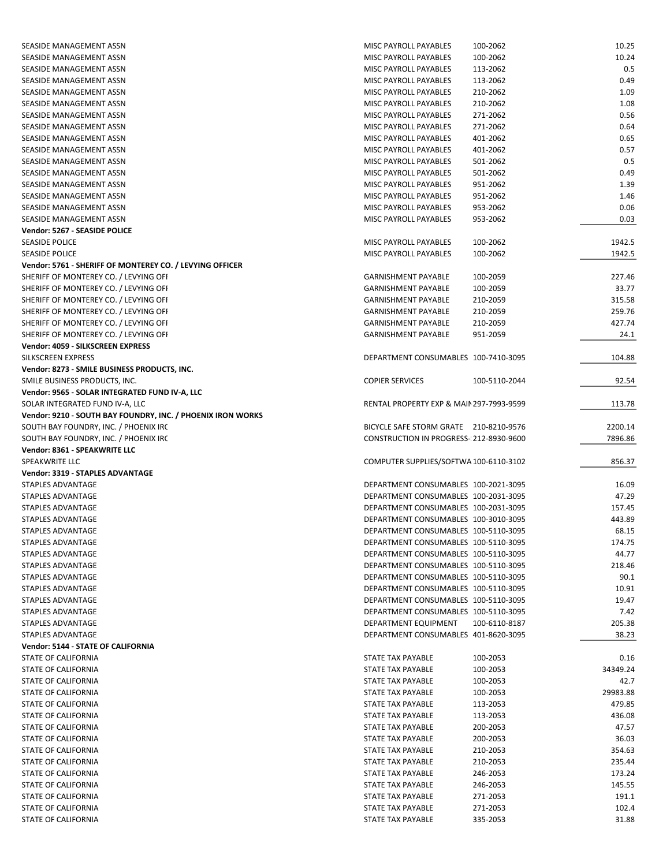| SEASIDE MANAGEMENT ASSN                                     | MISC PAYROLL PAYABLES                    | 100-2062      | 10.25    |
|-------------------------------------------------------------|------------------------------------------|---------------|----------|
| SEASIDE MANAGEMENT ASSN                                     | MISC PAYROLL PAYABLES                    | 100-2062      | 10.24    |
| SEASIDE MANAGEMENT ASSN                                     | MISC PAYROLL PAYABLES                    | 113-2062      | 0.5      |
| SEASIDE MANAGEMENT ASSN                                     |                                          |               | 0.49     |
|                                                             | MISC PAYROLL PAYABLES                    | 113-2062      |          |
| SEASIDE MANAGEMENT ASSN                                     | MISC PAYROLL PAYABLES                    | 210-2062      | 1.09     |
| SEASIDE MANAGEMENT ASSN                                     | MISC PAYROLL PAYABLES                    | 210-2062      | 1.08     |
| SEASIDE MANAGEMENT ASSN                                     | MISC PAYROLL PAYABLES                    | 271-2062      | 0.56     |
| SEASIDE MANAGEMENT ASSN                                     | MISC PAYROLL PAYABLES                    | 271-2062      | 0.64     |
| SEASIDE MANAGEMENT ASSN                                     | MISC PAYROLL PAYABLES                    | 401-2062      | 0.65     |
| SEASIDE MANAGEMENT ASSN                                     | MISC PAYROLL PAYABLES                    | 401-2062      | 0.57     |
| SEASIDE MANAGEMENT ASSN                                     | <b>MISC PAYROLL PAYABLES</b>             | 501-2062      | 0.5      |
| SEASIDE MANAGEMENT ASSN                                     | MISC PAYROLL PAYABLES                    | 501-2062      | 0.49     |
| SEASIDE MANAGEMENT ASSN                                     | MISC PAYROLL PAYABLES                    | 951-2062      | 1.39     |
|                                                             |                                          |               |          |
| SEASIDE MANAGEMENT ASSN                                     | MISC PAYROLL PAYABLES                    | 951-2062      | 1.46     |
| SEASIDE MANAGEMENT ASSN                                     | MISC PAYROLL PAYABLES                    | 953-2062      | 0.06     |
| SEASIDE MANAGEMENT ASSN                                     | MISC PAYROLL PAYABLES                    | 953-2062      | 0.03     |
| Vendor: 5267 - SEASIDE POLICE                               |                                          |               |          |
| <b>SEASIDE POLICE</b>                                       | MISC PAYROLL PAYABLES                    | 100-2062      | 1942.5   |
| <b>SEASIDE POLICE</b>                                       | MISC PAYROLL PAYABLES                    | 100-2062      | 1942.5   |
| Vendor: 5761 - SHERIFF OF MONTEREY CO. / LEVYING OFFICER    |                                          |               |          |
| SHERIFF OF MONTEREY CO. / LEVYING OFI                       | <b>GARNISHMENT PAYABLE</b>               | 100-2059      | 227.46   |
|                                                             |                                          |               |          |
| SHERIFF OF MONTEREY CO. / LEVYING OFI                       | <b>GARNISHMENT PAYABLE</b>               | 100-2059      | 33.77    |
| SHERIFF OF MONTEREY CO. / LEVYING OFI                       | <b>GARNISHMENT PAYABLE</b>               | 210-2059      | 315.58   |
| SHERIFF OF MONTEREY CO. / LEVYING OFI                       | <b>GARNISHMENT PAYABLE</b>               | 210-2059      | 259.76   |
| SHERIFF OF MONTEREY CO. / LEVYING OFI                       | <b>GARNISHMENT PAYABLE</b>               | 210-2059      | 427.74   |
| SHERIFF OF MONTEREY CO. / LEVYING OFI                       | <b>GARNISHMENT PAYABLE</b>               | 951-2059      | 24.1     |
| Vendor: 4059 - SILKSCREEN EXPRESS                           |                                          |               |          |
| SILKSCREEN EXPRESS                                          | DEPARTMENT CONSUMABLES 100-7410-3095     |               | 104.88   |
| Vendor: 8273 - SMILE BUSINESS PRODUCTS, INC.                |                                          |               |          |
|                                                             |                                          |               |          |
| SMILE BUSINESS PRODUCTS, INC.                               | <b>COPIER SERVICES</b>                   | 100-5110-2044 | 92.54    |
| Vendor: 9565 - SOLAR INTEGRATED FUND IV-A, LLC              |                                          |               |          |
| SOLAR INTEGRATED FUND IV-A, LLC                             | RENTAL PROPERTY EXP & MAIN 297-7993-9599 |               | 113.78   |
| Vendor: 9210 - SOUTH BAY FOUNDRY, INC. / PHOENIX IRON WORKS |                                          |               |          |
| SOUTH BAY FOUNDRY, INC. / PHOENIX IRC                       | BICYCLE SAFE STORM GRATE 210-8210-9576   |               | 2200.14  |
| SOUTH BAY FOUNDRY, INC. / PHOENIX IRC                       | CONSTRUCTION IN PROGRESS-212-8930-9600   |               | 7896.86  |
| Vendor: 8361 - SPEAKWRITE LLC                               |                                          |               |          |
| SPEAKWRITE LLC                                              | COMPUTER SUPPLIES/SOFTWA 100-6110-3102   |               | 856.37   |
| <b>Vendor: 3319 - STAPLES ADVANTAGE</b>                     |                                          |               |          |
|                                                             |                                          |               |          |
| STAPLES ADVANTAGE                                           | DEPARTMENT CONSUMABLES 100-2021-3095     |               | 16.09    |
| <b>STAPLES ADVANTAGE</b>                                    | DEPARTMENT CONSUMABLES 100-2031-3095     |               | 47.29    |
| STAPLES ADVANTAGE                                           | DEPARTMENT CONSUMABLES 100-2031-3095     |               | 157.45   |
| STAPLES ADVANTAGE                                           | DEPARTMENT CONSUMABLES 100-3010-3095     |               | 443.89   |
| STAPLES ADVANTAGE                                           | DEPARTMENT CONSUMABLES 100-5110-3095     |               | 68.15    |
| STAPLES ADVANTAGE                                           | DEPARTMENT CONSUMABLES 100-5110-3095     |               | 174.75   |
| STAPLES ADVANTAGE                                           | DEPARTMENT CONSUMABLES 100-5110-3095     |               | 44.77    |
| STAPLES ADVANTAGE                                           | DEPARTMENT CONSUMABLES 100-5110-3095     |               | 218.46   |
|                                                             | DEPARTMENT CONSUMABLES 100-5110-3095     |               | 90.1     |
| STAPLES ADVANTAGE                                           |                                          |               |          |
| STAPLES ADVANTAGE                                           | DEPARTMENT CONSUMABLES 100-5110-3095     |               | 10.91    |
| STAPLES ADVANTAGE                                           | DEPARTMENT CONSUMABLES 100-5110-3095     |               | 19.47    |
| STAPLES ADVANTAGE                                           | DEPARTMENT CONSUMABLES 100-5110-3095     |               | 7.42     |
| STAPLES ADVANTAGE                                           | DEPARTMENT EQUIPMENT                     | 100-6110-8187 | 205.38   |
| STAPLES ADVANTAGE                                           | DEPARTMENT CONSUMABLES 401-8620-3095     |               | 38.23    |
| <b>Vendor: 5144 - STATE OF CALIFORNIA</b>                   |                                          |               |          |
| STATE OF CALIFORNIA                                         | STATE TAX PAYABLE                        | 100-2053      | 0.16     |
| STATE OF CALIFORNIA                                         | STATE TAX PAYABLE                        | 100-2053      | 34349.24 |
|                                                             |                                          |               |          |
| STATE OF CALIFORNIA                                         | STATE TAX PAYABLE                        | 100-2053      | 42.7     |
| STATE OF CALIFORNIA                                         | STATE TAX PAYABLE                        | 100-2053      | 29983.88 |
| STATE OF CALIFORNIA                                         |                                          |               | 479.85   |
|                                                             | STATE TAX PAYABLE                        | 113-2053      |          |
| STATE OF CALIFORNIA                                         | STATE TAX PAYABLE                        | 113-2053      | 436.08   |
| STATE OF CALIFORNIA                                         | STATE TAX PAYABLE                        | 200-2053      | 47.57    |
| STATE OF CALIFORNIA                                         | STATE TAX PAYABLE                        | 200-2053      | 36.03    |
| STATE OF CALIFORNIA                                         | STATE TAX PAYABLE                        | 210-2053      | 354.63   |
|                                                             |                                          |               |          |
| STATE OF CALIFORNIA                                         | STATE TAX PAYABLE                        | 210-2053      | 235.44   |
| STATE OF CALIFORNIA                                         | STATE TAX PAYABLE                        | 246-2053      | 173.24   |
| STATE OF CALIFORNIA                                         | STATE TAX PAYABLE                        | 246-2053      | 145.55   |
| STATE OF CALIFORNIA                                         | STATE TAX PAYABLE                        | 271-2053      | 191.1    |
| STATE OF CALIFORNIA                                         | STATE TAX PAYABLE                        | 271-2053      | 102.4    |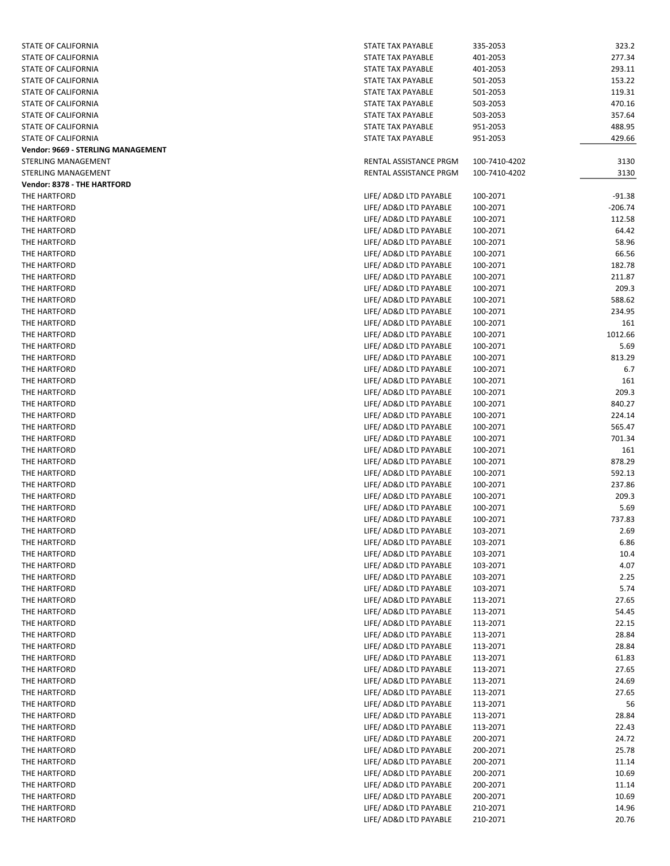| STATE OF CALIFORNIA                | STATE TAX PAYABLE             | 335-2053      | 323.2     |
|------------------------------------|-------------------------------|---------------|-----------|
| STATE OF CALIFORNIA                | STATE TAX PAYABLE             | 401-2053      | 277.34    |
| STATE OF CALIFORNIA                | STATE TAX PAYABLE             | 401-2053      | 293.11    |
|                                    |                               |               |           |
| STATE OF CALIFORNIA                | STATE TAX PAYABLE             | 501-2053      | 153.22    |
| STATE OF CALIFORNIA                | STATE TAX PAYABLE             | 501-2053      | 119.31    |
| STATE OF CALIFORNIA                | STATE TAX PAYABLE             | 503-2053      | 470.16    |
| STATE OF CALIFORNIA                | STATE TAX PAYABLE             | 503-2053      | 357.64    |
| STATE OF CALIFORNIA                | STATE TAX PAYABLE             | 951-2053      | 488.95    |
| STATE OF CALIFORNIA                | STATE TAX PAYABLE             | 951-2053      | 429.66    |
| Vendor: 9669 - STERLING MANAGEMENT |                               |               |           |
| STERLING MANAGEMENT                | RENTAL ASSISTANCE PRGM        | 100-7410-4202 | 3130      |
| STERLING MANAGEMENT                | <b>RENTAL ASSISTANCE PRGM</b> | 100-7410-4202 | 3130      |
| Vendor: 8378 - THE HARTFORD        |                               |               |           |
|                                    |                               |               |           |
| THE HARTFORD                       | LIFE/ AD&D LTD PAYABLE        | 100-2071      | $-91.38$  |
| THE HARTFORD                       | LIFE/ AD&D LTD PAYABLE        | 100-2071      | $-206.74$ |
| THE HARTFORD                       | LIFE/ AD&D LTD PAYABLE        | 100-2071      | 112.58    |
| THE HARTFORD                       | LIFE/ AD&D LTD PAYABLE        | 100-2071      | 64.42     |
| THE HARTFORD                       | LIFE/ AD&D LTD PAYABLE        | 100-2071      | 58.96     |
| THE HARTFORD                       | LIFE/ AD&D LTD PAYABLE        | 100-2071      | 66.56     |
| THE HARTFORD                       | LIFE/ AD&D LTD PAYABLE        | 100-2071      | 182.78    |
| THE HARTFORD                       | LIFE/ AD&D LTD PAYABLE        | 100-2071      | 211.87    |
| THE HARTFORD                       | LIFE/ AD&D LTD PAYABLE        | 100-2071      | 209.3     |
| THE HARTFORD                       | LIFE/ AD&D LTD PAYABLE        | 100-2071      | 588.62    |
| THE HARTFORD                       | LIFE/ AD&D LTD PAYABLE        | 100-2071      | 234.95    |
|                                    |                               |               |           |
| THE HARTFORD                       | LIFE/ AD&D LTD PAYABLE        | 100-2071      | 161       |
| THE HARTFORD                       | LIFE/ AD&D LTD PAYABLE        | 100-2071      | 1012.66   |
| THE HARTFORD                       | LIFE/ AD&D LTD PAYABLE        | 100-2071      | 5.69      |
| THE HARTFORD                       | LIFE/ AD&D LTD PAYABLE        | 100-2071      | 813.29    |
| THE HARTFORD                       | LIFE/ AD&D LTD PAYABLE        | 100-2071      | 6.7       |
| THE HARTFORD                       | LIFE/ AD&D LTD PAYABLE        | 100-2071      | 161       |
| THE HARTFORD                       | LIFE/ AD&D LTD PAYABLE        | 100-2071      | 209.3     |
| THE HARTFORD                       | LIFE/ AD&D LTD PAYABLE        | 100-2071      | 840.27    |
| THE HARTFORD                       | LIFE/ AD&D LTD PAYABLE        | 100-2071      | 224.14    |
| THE HARTFORD                       | LIFE/ AD&D LTD PAYABLE        | 100-2071      | 565.47    |
|                                    |                               |               |           |
| THE HARTFORD                       | LIFE/ AD&D LTD PAYABLE        | 100-2071      | 701.34    |
| THE HARTFORD                       | LIFE/ AD&D LTD PAYABLE        | 100-2071      | 161       |
| THE HARTFORD                       | LIFE/ AD&D LTD PAYABLE        | 100-2071      | 878.29    |
| THE HARTFORD                       | LIFE/ AD&D LTD PAYABLE        | 100-2071      | 592.13    |
| THE HARTFORD                       | LIFE/ AD&D LTD PAYABLE        | 100-2071      | 237.86    |
| THE HARTFORD                       | LIFE/ AD&D LTD PAYABLE        | 100-2071      | 209.3     |
| THE HARTFORD                       | LIFE/ AD&D LTD PAYABLE        | 100-2071      | 5.69      |
| THE HARTFORD                       | LIFE/ AD&D LTD PAYABLE        | 100-2071      | 737.83    |
| THE HARTFORD                       | LIFE/ AD&D LTD PAYABLE        | 103-2071      | 2.69      |
| THE HARTFORD                       | LIFE/ AD&D LTD PAYABLE        | 103-2071      | 6.86      |
| THE HARTFORD                       | LIFE/ AD&D LTD PAYABLE        | 103-2071      | 10.4      |
| THE HARTFORD                       | LIFE/ AD&D LTD PAYABLE        | 103-2071      | 4.07      |
|                                    |                               |               |           |
| THE HARTFORD                       | LIFE/ AD&D LTD PAYABLE        | 103-2071      | 2.25      |
| THE HARTFORD                       | LIFE/ AD&D LTD PAYABLE        | 103-2071      | 5.74      |
| THE HARTFORD                       | LIFE/ AD&D LTD PAYABLE        | 113-2071      | 27.65     |
| THE HARTFORD                       | LIFE/ AD&D LTD PAYABLE        | 113-2071      | 54.45     |
| THE HARTFORD                       | LIFE/ AD&D LTD PAYABLE        | 113-2071      | 22.15     |
| THE HARTFORD                       | LIFE/ AD&D LTD PAYABLE        | 113-2071      | 28.84     |
| THE HARTFORD                       | LIFE/ AD&D LTD PAYABLE        | 113-2071      | 28.84     |
| THE HARTFORD                       | LIFE/ AD&D LTD PAYABLE        | 113-2071      | 61.83     |
| THE HARTFORD                       | LIFE/ AD&D LTD PAYABLE        | 113-2071      | 27.65     |
| THE HARTFORD                       | LIFE/ AD&D LTD PAYABLE        | 113-2071      | 24.69     |
| THE HARTFORD                       | LIFE/ AD&D LTD PAYABLE        | 113-2071      | 27.65     |
|                                    |                               |               |           |
| THE HARTFORD                       | LIFE/ AD&D LTD PAYABLE        | 113-2071      | 56        |
| THE HARTFORD                       | LIFE/ AD&D LTD PAYABLE        | 113-2071      | 28.84     |
| THE HARTFORD                       | LIFE/ AD&D LTD PAYABLE        | 113-2071      | 22.43     |
| THE HARTFORD                       | LIFE/ AD&D LTD PAYABLE        | 200-2071      | 24.72     |
| THE HARTFORD                       | LIFE/ AD&D LTD PAYABLE        | 200-2071      | 25.78     |
| THE HARTFORD                       | LIFE/ AD&D LTD PAYABLE        | 200-2071      | 11.14     |
| THE HARTFORD                       | LIFE/ AD&D LTD PAYABLE        | 200-2071      | 10.69     |
| THE HARTFORD                       | LIFE/ AD&D LTD PAYABLE        | 200-2071      | 11.14     |
| THE HARTFORD                       | LIFE/ AD&D LTD PAYABLE        | 200-2071      | 10.69     |
| THE HARTFORD                       | LIFE/ AD&D LTD PAYABLE        | 210-2071      | 14.96     |
| THE HARTFORD                       | LIFE/ AD&D LTD PAYABLE        | 210-2071      | 20.76     |
|                                    |                               |               |           |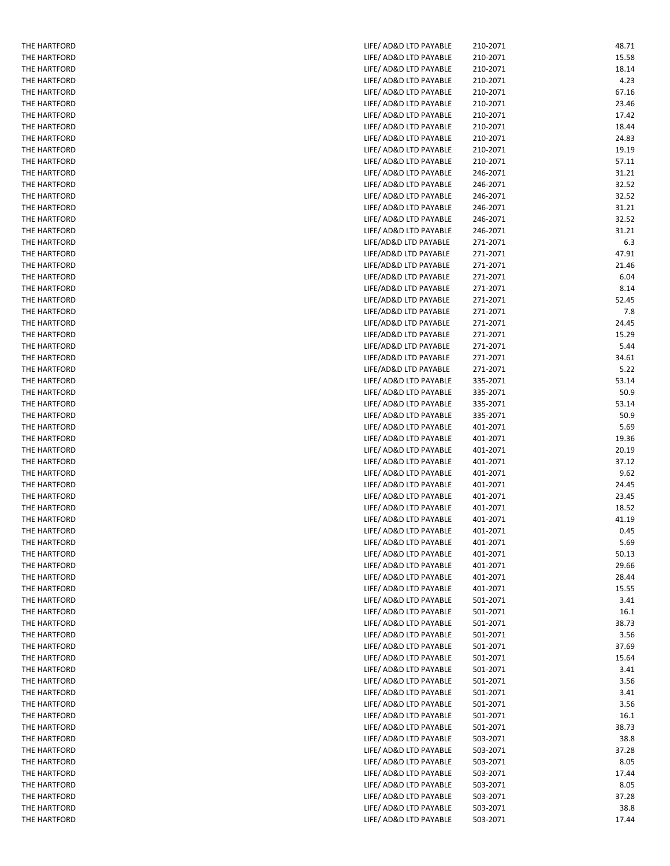| THE HARTFORD | LIFE/ AD&D LTD PAYABLE | 210-2071 |
|--------------|------------------------|----------|
| THE HARTFORD | LIFE/ AD&D LTD PAYABLE | 210-2071 |
| THE HARTFORD | LIFE/ AD&D LTD PAYABLE | 210-2071 |
| THE HARTFORD | LIFE/ AD&D LTD PAYABLE | 210-2071 |
| THE HARTFORD | LIFE/ AD&D LTD PAYABLE | 210-2071 |
|              |                        |          |
| THE HARTFORD | LIFE/ AD&D LTD PAYABLE | 210-2071 |
| THE HARTFORD | LIFE/ AD&D LTD PAYABLE | 210-2071 |
| THE HARTFORD | LIFE/ AD&D LTD PAYABLE | 210-2071 |
| THE HARTFORD | LIFE/ AD&D LTD PAYABLE | 210-2071 |
| THE HARTFORD | LIFE/ AD&D LTD PAYABLE | 210-2071 |
| THE HARTFORD | LIFE/ AD&D LTD PAYABLE | 210-2071 |
| THE HARTFORD | LIFE/ AD&D LTD PAYABLE | 246-2071 |
| THE HARTFORD | LIFE/ AD&D LTD PAYABLE | 246-2071 |
| THE HARTFORD | LIFE/ AD&D LTD PAYABLE | 246-2071 |
| THE HARTFORD | LIFE/ AD&D LTD PAYABLE | 246-2071 |
|              |                        |          |
| THE HARTFORD | LIFE/ AD&D LTD PAYABLE | 246-2071 |
| THE HARTFORD | LIFE/ AD&D LTD PAYABLE | 246-2071 |
| THE HARTFORD | LIFE/AD&D LTD PAYABLE  | 271-2071 |
| THE HARTFORD | LIFE/AD&D LTD PAYABLE  | 271-2071 |
| THE HARTFORD | LIFE/AD&D LTD PAYABLE  | 271-2071 |
| THE HARTFORD | LIFE/AD&D LTD PAYABLE  | 271-2071 |
| THE HARTFORD | LIFE/AD&D LTD PAYABLE  | 271-2071 |
| THE HARTFORD | LIFE/AD&D LTD PAYABLE  | 271-2071 |
| THE HARTFORD | LIFE/AD&D LTD PAYABLE  | 271-2071 |
| THE HARTFORD | LIFE/AD&D LTD PAYABLE  | 271-2071 |
| THE HARTFORD | LIFE/AD&D LTD PAYABLE  | 271-2071 |
| THE HARTFORD | LIFE/AD&D LTD PAYABLE  | 271-2071 |
| THE HARTFORD | LIFE/AD&D LTD PAYABLE  | 271-2071 |
|              | LIFE/AD&D LTD PAYABLE  |          |
| THE HARTFORD |                        | 271-2071 |
| THE HARTFORD | LIFE/ AD&D LTD PAYABLE | 335-2071 |
| THE HARTFORD | LIFE/ AD&D LTD PAYABLE | 335-2071 |
| THE HARTFORD | LIFE/ AD&D LTD PAYABLE | 335-2071 |
| THE HARTFORD | LIFE/ AD&D LTD PAYABLE | 335-2071 |
| THE HARTFORD | LIFE/ AD&D LTD PAYABLE | 401-2071 |
| THE HARTFORD | LIFE/ AD&D LTD PAYABLE | 401-2071 |
| THE HARTFORD | LIFE/ AD&D LTD PAYABLE | 401-2071 |
| THE HARTFORD | LIFE/ AD&D LTD PAYABLE | 401-2071 |
| THE HARTFORD | LIFE/ AD&D LTD PAYABLE | 401-2071 |
| THE HARTFORD | LIFE/ AD&D LTD PAYABLE | 401-2071 |
| THE HARTFORD | LIFE/ AD&D LTD PAYABLE | 401-2071 |
| THE HARTFORD | LIFE/ AD&D LTD PAYABLE | 401-2071 |
| THE HARTFORD | LIFE/ AD&D LTD PAYABLE | 401-2071 |
| THE HARTFORD | LIFE/ AD&D LTD PAYABLE | 401-2071 |
| THE HARTFORD | LIFE/ AD&D LTD PAYABLE | 401-2071 |
| THE HARTFORD | LIFE/ AD&D LTD PAYABLE | 401-2071 |
| THE HARTFORD | LIFE/ AD&D LTD PAYABLE |          |
| THE HARTFORD |                        | 401-2071 |
|              | LIFE/ AD&D LTD PAYABLE | 401-2071 |
| THE HARTFORD | LIFE/ AD&D LTD PAYABLE | 401-2071 |
| THE HARTFORD | LIFE/ AD&D LTD PAYABLE | 501-2071 |
| THE HARTFORD | LIFE/ AD&D LTD PAYABLE | 501-2071 |
| THE HARTFORD | LIFE/ AD&D LTD PAYABLE | 501-2071 |
| THE HARTFORD | LIFE/ AD&D LTD PAYABLE | 501-2071 |
| THE HARTFORD | LIFE/ AD&D LTD PAYABLE | 501-2071 |
| THE HARTFORD | LIFE/ AD&D LTD PAYABLE | 501-2071 |
| THE HARTFORD | LIFE/ AD&D LTD PAYABLE | 501-2071 |
| THE HARTFORD | LIFE/ AD&D LTD PAYABLE | 501-2071 |
| THE HARTFORD | LIFE/ AD&D LTD PAYABLE | 501-2071 |
| THE HARTFORD | LIFE/ AD&D LTD PAYABLE | 501-2071 |
| THE HARTFORD | LIFE/ AD&D LTD PAYABLE | 501-2071 |
| THE HARTFORD | LIFE/ AD&D LTD PAYABLE | 501-2071 |
| THE HARTFORD | LIFE/ AD&D LTD PAYABLE | 503-2071 |
| THE HARTFORD | LIFE/ AD&D LTD PAYABLE | 503-2071 |
|              |                        |          |
| THE HARTFORD | LIFE/ AD&D LTD PAYABLE | 503-2071 |
| THE HARTFORD | LIFE/ AD&D LTD PAYABLE | 503-2071 |
| THE HARTFORD | LIFE/ AD&D LTD PAYABLE | 503-2071 |
| THE HARTFORD | LIFE/ AD&D LTD PAYABLE | 503-2071 |
| THE HARTFORD | LIFE/ AD&D LTD PAYABLE | 503-2071 |
| THE HARTFORD | LIFE/ AD&D LTD PAYABLE | 503-2071 |

37.28

8.05

8.05

37.28

‐2071 38.73

 $3.41$ 

3.56

15.64

37.69

‐2071 38.73

15.55

28.44

50.13

41.19

24.45

9.62

20.19

19.36

50.9

53.14

5.22

5.44

‐2071 7.8

6.04

 $6.3$ 

‐2071 47.91

‐2071 31.21

32.52

31.21

24.83

18.44

23.46

67.16

‐2071 18.14

15.58

‐2071 48.71

4.23

17.42

19.19

57.11

32.52

32.52

‐2071 31.21

21.46

8.14

52.45

24.45

15.29

34.61

50.9

53.14

5.69

37.12

23.45

18.52

0.45

5.69

29.66

 $3.41$ 

 $16.1$ 

3.56

3.41

3.56

16.1

‐2071 38.8

17.44

‐2071 38.8

17.44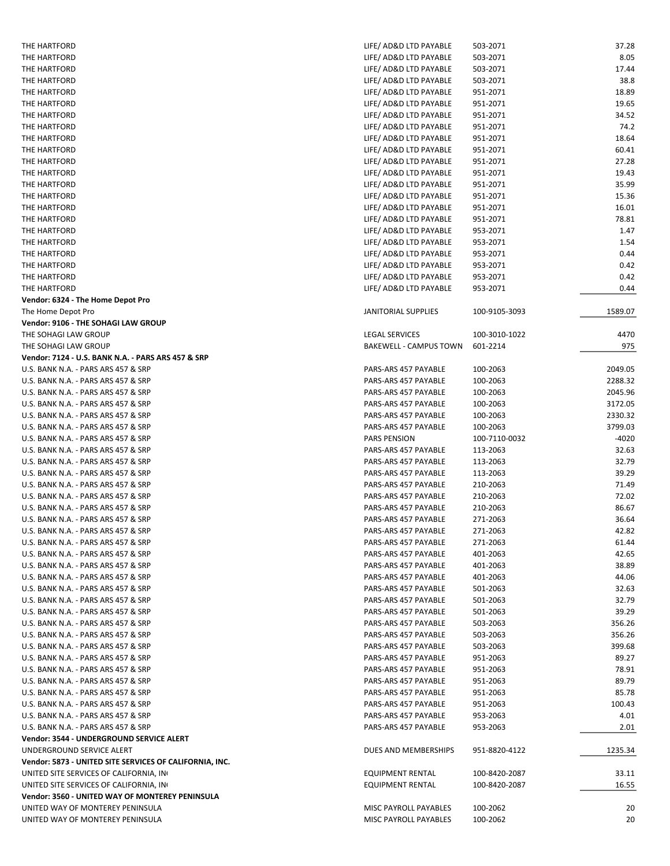| THE HARTFORD                                            | LIFE/ AD&D LTD PAYABLE  | 503-2071      | 37.28   |
|---------------------------------------------------------|-------------------------|---------------|---------|
| THE HARTFORD                                            | LIFE/ AD&D LTD PAYABLE  | 503-2071      | 8.05    |
| THE HARTFORD                                            | LIFE/ AD&D LTD PAYABLE  | 503-2071      | 17.44   |
| THE HARTFORD                                            | LIFE/ AD&D LTD PAYABLE  | 503-2071      | 38.8    |
| THE HARTFORD                                            | LIFE/ AD&D LTD PAYABLE  | 951-2071      | 18.89   |
| THE HARTFORD                                            | LIFE/ AD&D LTD PAYABLE  | 951-2071      | 19.65   |
| THE HARTFORD                                            | LIFE/ AD&D LTD PAYABLE  | 951-2071      | 34.52   |
| THE HARTFORD                                            | LIFE/ AD&D LTD PAYABLE  | 951-2071      | 74.2    |
| THE HARTFORD                                            | LIFE/ AD&D LTD PAYABLE  | 951-2071      | 18.64   |
| THE HARTFORD                                            | LIFE/ AD&D LTD PAYABLE  | 951-2071      | 60.41   |
| THE HARTFORD                                            | LIFE/ AD&D LTD PAYABLE  | 951-2071      | 27.28   |
| THE HARTFORD                                            | LIFE/ AD&D LTD PAYABLE  | 951-2071      | 19.43   |
| THE HARTFORD                                            | LIFE/ AD&D LTD PAYABLE  | 951-2071      | 35.99   |
| THE HARTFORD                                            | LIFE/ AD&D LTD PAYABLE  | 951-2071      | 15.36   |
| THE HARTFORD                                            | LIFE/ AD&D LTD PAYABLE  | 951-2071      | 16.01   |
| THE HARTFORD                                            | LIFE/ AD&D LTD PAYABLE  | 951-2071      | 78.81   |
| THE HARTFORD                                            | LIFE/ AD&D LTD PAYABLE  | 953-2071      | 1.47    |
| THE HARTFORD                                            | LIFE/ AD&D LTD PAYABLE  | 953-2071      | 1.54    |
| THE HARTFORD                                            | LIFE/ AD&D LTD PAYABLE  | 953-2071      | 0.44    |
| THE HARTFORD                                            | LIFE/ AD&D LTD PAYABLE  | 953-2071      | 0.42    |
| THE HARTFORD                                            | LIFE/ AD&D LTD PAYABLE  | 953-2071      | 0.42    |
| THE HARTFORD                                            | LIFE/ AD&D LTD PAYABLE  | 953-2071      | 0.44    |
| Vendor: 6324 - The Home Depot Pro                       |                         |               |         |
| The Home Depot Pro                                      | JANITORIAL SUPPLIES     | 100-9105-3093 | 1589.07 |
| Vendor: 9106 - THE SOHAGI LAW GROUP                     |                         |               |         |
| THE SOHAGI LAW GROUP                                    | <b>LEGAL SERVICES</b>   | 100-3010-1022 | 4470    |
| THE SOHAGI LAW GROUP                                    | BAKEWELL - CAMPUS TOWN  | 601-2214      | 975     |
|                                                         |                         |               |         |
| Vendor: 7124 - U.S. BANK N.A. - PARS ARS 457 & SRP      |                         |               |         |
| U.S. BANK N.A. - PARS ARS 457 & SRP                     | PARS-ARS 457 PAYABLE    | 100-2063      | 2049.05 |
| U.S. BANK N.A. - PARS ARS 457 & SRP                     | PARS-ARS 457 PAYABLE    | 100-2063      | 2288.32 |
| U.S. BANK N.A. - PARS ARS 457 & SRP                     | PARS-ARS 457 PAYABLE    | 100-2063      | 2045.96 |
| U.S. BANK N.A. - PARS ARS 457 & SRP                     | PARS-ARS 457 PAYABLE    | 100-2063      | 3172.05 |
| U.S. BANK N.A. - PARS ARS 457 & SRP                     | PARS-ARS 457 PAYABLE    | 100-2063      | 2330.32 |
| U.S. BANK N.A. - PARS ARS 457 & SRP                     | PARS-ARS 457 PAYABLE    | 100-2063      | 3799.03 |
| U.S. BANK N.A. - PARS ARS 457 & SRP                     | <b>PARS PENSION</b>     | 100-7110-0032 | -4020   |
| U.S. BANK N.A. - PARS ARS 457 & SRP                     | PARS-ARS 457 PAYABLE    | 113-2063      | 32.63   |
| U.S. BANK N.A. - PARS ARS 457 & SRP                     | PARS-ARS 457 PAYABLE    | 113-2063      | 32.79   |
| U.S. BANK N.A. - PARS ARS 457 & SRP                     | PARS-ARS 457 PAYABLE    | 113-2063      | 39.29   |
| U.S. BANK N.A. - PARS ARS 457 & SRP                     | PARS-ARS 457 PAYABLE    | 210-2063      | 71.49   |
| U.S. BANK N.A. - PARS ARS 457 & SRP                     | PARS-ARS 457 PAYABLE    | 210-2063      | 72.02   |
| U.S. BANK N.A. - PARS ARS 457 & SRP                     | PARS-ARS 457 PAYABLE    | 210-2063      | 86.67   |
| U.S. BANK N.A. - PARS ARS 457 & SRP                     | PARS-ARS 457 PAYABLE    | 271-2063      | 36.64   |
| U.S. BANK N.A. - PARS ARS 457 & SRP                     | PARS-ARS 457 PAYABLE    | 271-2063      | 42.82   |
| U.S. BANK N.A. - PARS ARS 457 & SRP                     | PARS-ARS 457 PAYABLE    | 271-2063      | 61.44   |
| U.S. BANK N.A. - PARS ARS 457 & SRP                     | PARS-ARS 457 PAYABLE    | 401-2063      | 42.65   |
| U.S. BANK N.A. - PARS ARS 457 & SRP                     | PARS-ARS 457 PAYABLE    | 401-2063      | 38.89   |
| U.S. BANK N.A. - PARS ARS 457 & SRP                     | PARS-ARS 457 PAYABLE    | 401-2063      | 44.06   |
| U.S. BANK N.A. - PARS ARS 457 & SRP                     | PARS-ARS 457 PAYABLE    | 501-2063      | 32.63   |
| U.S. BANK N.A. - PARS ARS 457 & SRP                     | PARS-ARS 457 PAYABLE    | 501-2063      | 32.79   |
| U.S. BANK N.A. - PARS ARS 457 & SRP                     | PARS-ARS 457 PAYABLE    | 501-2063      | 39.29   |
| U.S. BANK N.A. - PARS ARS 457 & SRP                     | PARS-ARS 457 PAYABLE    | 503-2063      | 356.26  |
| U.S. BANK N.A. - PARS ARS 457 & SRP                     | PARS-ARS 457 PAYABLE    | 503-2063      | 356.26  |
| U.S. BANK N.A. - PARS ARS 457 & SRP                     | PARS-ARS 457 PAYABLE    | 503-2063      | 399.68  |
| U.S. BANK N.A. - PARS ARS 457 & SRP                     | PARS-ARS 457 PAYABLE    | 951-2063      | 89.27   |
| U.S. BANK N.A. - PARS ARS 457 & SRP                     | PARS-ARS 457 PAYABLE    | 951-2063      | 78.91   |
| U.S. BANK N.A. - PARS ARS 457 & SRP                     | PARS-ARS 457 PAYABLE    | 951-2063      | 89.79   |
| U.S. BANK N.A. - PARS ARS 457 & SRP                     | PARS-ARS 457 PAYABLE    | 951-2063      | 85.78   |
| U.S. BANK N.A. - PARS ARS 457 & SRP                     | PARS-ARS 457 PAYABLE    | 951-2063      | 100.43  |
| U.S. BANK N.A. - PARS ARS 457 & SRP                     | PARS-ARS 457 PAYABLE    | 953-2063      | 4.01    |
| U.S. BANK N.A. - PARS ARS 457 & SRP                     | PARS-ARS 457 PAYABLE    | 953-2063      | 2.01    |
| Vendor: 3544 - UNDERGROUND SERVICE ALERT                |                         |               |         |
| UNDERGROUND SERVICE ALERT                               | DUES AND MEMBERSHIPS    | 951-8820-4122 | 1235.34 |
| Vendor: 5873 - UNITED SITE SERVICES OF CALIFORNIA, INC. |                         |               |         |
| UNITED SITE SERVICES OF CALIFORNIA, IN                  | EQUIPMENT RENTAL        | 100-8420-2087 | 33.11   |
| UNITED SITE SERVICES OF CALIFORNIA, IN                  | <b>EQUIPMENT RENTAL</b> | 100-8420-2087 | 16.55   |
| Vendor: 3560 - UNITED WAY OF MONTEREY PENINSULA         |                         |               |         |
| UNITED WAY OF MONTEREY PENINSULA                        | MISC PAYROLL PAYABLES   | 100-2062      | 20      |
| UNITED WAY OF MONTEREY PENINSULA                        | MISC PAYROLL PAYABLES   | 100-2062      | 20      |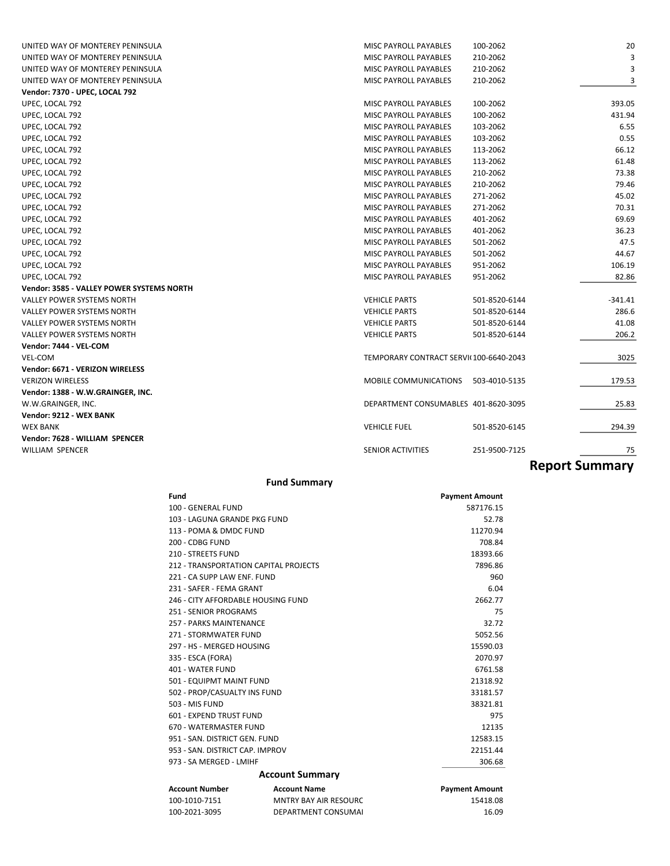| UNITED WAY OF MONTEREY PENINSULA          | MISC PAYROLL PAYABLES                  | 100-2062      | 20                    |
|-------------------------------------------|----------------------------------------|---------------|-----------------------|
| UNITED WAY OF MONTEREY PENINSULA          | <b>MISC PAYROLL PAYABLES</b>           | 210-2062      | 3                     |
| UNITED WAY OF MONTEREY PENINSULA          | <b>MISC PAYROLL PAYABLES</b>           | 210-2062      | 3                     |
| UNITED WAY OF MONTEREY PENINSULA          | <b>MISC PAYROLL PAYABLES</b>           | 210-2062      | 3                     |
| Vendor: 7370 - UPEC, LOCAL 792            |                                        |               |                       |
| UPEC, LOCAL 792                           | MISC PAYROLL PAYABLES                  | 100-2062      | 393.05                |
| UPEC, LOCAL 792                           | <b>MISC PAYROLL PAYABLES</b>           | 100-2062      | 431.94                |
| UPEC, LOCAL 792                           | MISC PAYROLL PAYABLES                  | 103-2062      | 6.55                  |
| UPEC, LOCAL 792                           | <b>MISC PAYROLL PAYABLES</b>           | 103-2062      | 0.55                  |
| UPEC, LOCAL 792                           | <b>MISC PAYROLL PAYABLES</b>           | 113-2062      | 66.12                 |
| UPEC, LOCAL 792                           | MISC PAYROLL PAYABLES                  | 113-2062      | 61.48                 |
| UPEC, LOCAL 792                           | <b>MISC PAYROLL PAYABLES</b>           | 210-2062      | 73.38                 |
| UPEC, LOCAL 792                           | <b>MISC PAYROLL PAYABLES</b>           | 210-2062      | 79.46                 |
| UPEC, LOCAL 792                           | MISC PAYROLL PAYABLES                  | 271-2062      | 45.02                 |
| UPEC, LOCAL 792                           | <b>MISC PAYROLL PAYABLES</b>           | 271-2062      | 70.31                 |
| UPEC, LOCAL 792                           | <b>MISC PAYROLL PAYABLES</b>           | 401-2062      | 69.69                 |
| UPEC, LOCAL 792                           | MISC PAYROLL PAYABLES                  | 401-2062      | 36.23                 |
| UPEC, LOCAL 792                           | <b>MISC PAYROLL PAYABLES</b>           | 501-2062      | 47.5                  |
| UPEC, LOCAL 792                           | <b>MISC PAYROLL PAYABLES</b>           | 501-2062      | 44.67                 |
| UPEC, LOCAL 792                           | MISC PAYROLL PAYABLES                  | 951-2062      | 106.19                |
| UPEC, LOCAL 792                           | <b>MISC PAYROLL PAYABLES</b>           | 951-2062      | 82.86                 |
| Vendor: 3585 - VALLEY POWER SYSTEMS NORTH |                                        |               |                       |
| <b>VALLEY POWER SYSTEMS NORTH</b>         | <b>VEHICLE PARTS</b>                   | 501-8520-6144 | -341.41               |
| <b>VALLEY POWER SYSTEMS NORTH</b>         | <b>VEHICLE PARTS</b>                   | 501-8520-6144 | 286.6                 |
| <b>VALLEY POWER SYSTEMS NORTH</b>         | <b>VEHICLE PARTS</b>                   | 501-8520-6144 | 41.08                 |
| <b>VALLEY POWER SYSTEMS NORTH</b>         | <b>VEHICLE PARTS</b>                   | 501-8520-6144 | 206.2                 |
| Vendor: 7444 - VEL-COM                    |                                        |               |                       |
| VEL-COM                                   | TEMPORARY CONTRACT SERVI(100-6640-2043 |               | 3025                  |
| Vendor: 6671 - VERIZON WIRELESS           |                                        |               |                       |
| <b>VERIZON WIRELESS</b>                   | MOBILE COMMUNICATIONS                  | 503-4010-5135 | 179.53                |
| Vendor: 1388 - W.W.GRAINGER, INC.         |                                        |               |                       |
| W.W.GRAINGER, INC.                        | DEPARTMENT CONSUMABLES 401-8620-3095   |               | 25.83                 |
| Vendor: 9212 - WEX BANK                   |                                        |               |                       |
| <b>WEX BANK</b>                           | <b>VEHICLE FUEL</b>                    | 501-8520-6145 | 294.39                |
| Vendor: 7628 - WILLIAM SPENCER            |                                        |               |                       |
| <b>WILLIAM SPENCER</b>                    | <b>SENIOR ACTIVITIES</b>               | 251-9500-7125 | 75                    |
|                                           |                                        |               |                       |
|                                           |                                        |               | <b>Report Summary</b> |

#### **Fund Summary**

| Fund                                  |                              | <b>Payment Amount</b> |
|---------------------------------------|------------------------------|-----------------------|
| 100 - GENERAL FUND                    |                              | 587176.15             |
| 103 - LAGUNA GRANDE PKG FUND          |                              | 52.78                 |
| 113 - POMA & DMDC FUND                |                              | 11270.94              |
| 200 - CDBG FUND                       |                              | 708.84                |
| 210 - STREETS FUND                    |                              | 18393.66              |
| 212 - TRANSPORTATION CAPITAL PROJECTS |                              | 7896.86               |
| 221 - CA SUPP LAW ENF. FUND           |                              | 960                   |
| 231 - SAFER - FEMA GRANT              |                              | 6.04                  |
| 246 - CITY AFFORDABLE HOUSING FUND    |                              | 2662.77               |
| 251 - SENIOR PROGRAMS                 |                              | 75                    |
| 257 - PARKS MAINTENANCE               |                              | 32.72                 |
| 271 - STORMWATER FUND                 |                              | 5052.56               |
| 297 - HS - MERGED HOUSING             |                              | 15590.03              |
| 335 - ESCA (FORA)                     |                              | 2070.97               |
| 401 - WATER FUND                      |                              | 6761.58               |
| 501 - EQUIPMT MAINT FUND              |                              | 21318.92              |
| 502 - PROP/CASUALTY INS FUND          |                              | 33181.57              |
| 503 - MIS FUND                        |                              | 38321.81              |
| 601 - EXPEND TRUST FUND               |                              | 975                   |
| 670 - WATERMASTER FUND                |                              | 12135                 |
| 951 - SAN, DISTRICT GEN, FUND         |                              | 12583.15              |
| 953 - SAN, DISTRICT CAP, IMPROV       |                              | 22151.44              |
| 973 - SA MERGED - LMIHF               |                              | 306.68                |
|                                       | <b>Account Summary</b>       |                       |
| <b>Account Number</b>                 | <b>Account Name</b>          | <b>Payment Amount</b> |
| 100-1010-7151                         | <b>MNTRY BAY AIR RESOURC</b> | 15418.08              |
| 100-2021-3095                         | DEPARTMENT CONSUMAL          | 16.09                 |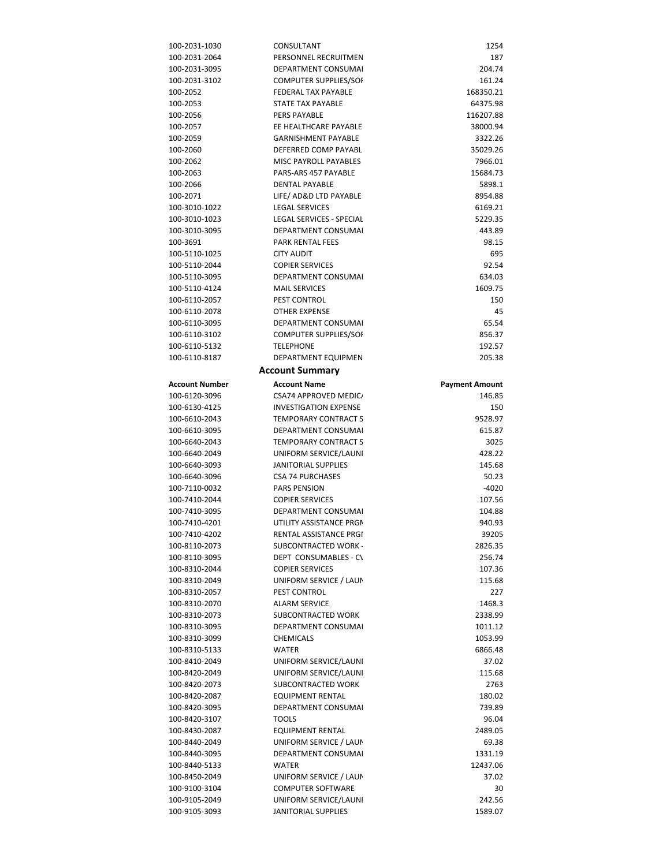| 100-2031-1030         | CONSULTANT                             | 1254                  |
|-----------------------|----------------------------------------|-----------------------|
| 100-2031-2064         | PERSONNEL RECRUITMEN                   | 187                   |
| 100-2031-3095         | DEPARTMENT CONSUMAL                    | 204.74                |
| 100-2031-3102         | <b>COMPUTER SUPPLIES/SOI</b>           | 161.24                |
| 100-2052              | FEDERAL TAX PAYABLE                    | 168350.21             |
| 100-2053              | STATE TAX PAYABLE                      | 64375.98              |
| 100-2056              | <b>PERS PAYABLE</b>                    | 116207.88             |
| 100-2057              | EE HEALTHCARE PAYABLE                  | 38000.94              |
|                       |                                        |                       |
| 100-2059              | <b>GARNISHMENT PAYABLE</b>             | 3322.26               |
| 100-2060              | DEFERRED COMP PAYABL                   | 35029.26              |
| 100-2062              | MISC PAYROLL PAYABLES                  | 7966.01               |
| 100-2063              | PARS-ARS 457 PAYABLE                   | 15684.73              |
| 100-2066              | <b>DENTAL PAYABLE</b>                  | 5898.1                |
| 100-2071              | LIFE/ AD&D LTD PAYABLE                 | 8954.88               |
| 100-3010-1022         | <b>LEGAL SERVICES</b>                  | 6169.21               |
| 100-3010-1023         | LEGAL SERVICES - SPECIAL               | 5229.35               |
| 100-3010-3095         | DEPARTMENT CONSUMAL                    | 443.89                |
| 100-3691              | <b>PARK RENTAL FEES</b>                | 98.15                 |
| 100-5110-1025         | <b>CITY AUDIT</b>                      | 695                   |
| 100-5110-2044         | <b>COPIER SERVICES</b>                 | 92.54                 |
| 100-5110-3095         | <b>DEPARTMENT CONSUMAL</b>             | 634.03                |
| 100-5110-4124         | <b>MAIL SERVICES</b>                   | 1609.75               |
| 100-6110-2057         | PEST CONTROL                           | 150                   |
| 100-6110-2078         | <b>OTHER EXPENSE</b>                   | 45                    |
|                       | DEPARTMENT CONSUMAL                    | 65.54                 |
| 100-6110-3095         |                                        |                       |
| 100-6110-3102         | <b>COMPUTER SUPPLIES/SOI</b>           | 856.37                |
| 100-6110-5132         | <b>TELEPHONE</b>                       | 192.57                |
| 100-6110-8187         | DEPARTMENT EQUIPMEN                    | 205.38                |
|                       | <b>Account Summary</b>                 |                       |
| <b>Account Number</b> | <b>Account Name</b>                    | <b>Payment Amount</b> |
| 100-6120-3096         | CSA74 APPROVED MEDIC                   | 146.85                |
| 100-6130-4125         | <b>INVESTIGATION EXPENSE</b>           | 150                   |
| 100-6610-2043         | <b>TEMPORARY CONTRACT S</b>            | 9528.97               |
| 100-6610-3095         | DEPARTMENT CONSUMAL                    | 615.87                |
| 100-6640-2043         | <b>TEMPORARY CONTRACT S</b>            | 3025                  |
| 100-6640-2049         | UNIFORM SERVICE/LAUNI                  | 428.22                |
| 100-6640-3093         | JANITORIAL SUPPLIES                    | 145.68                |
| 100-6640-3096         | <b>CSA 74 PURCHASES</b>                |                       |
|                       |                                        | 50.23                 |
| 100-7110-0032         | <b>PARS PENSION</b>                    | $-4020$               |
| 100-7410-2044         | <b>COPIER SERVICES</b>                 | 107.56                |
| 100-7410-3095         | <b>DEPARTMENT CONSUMAL</b>             | 104.88                |
| 100-7410-4201         | UTILITY ASSISTANCE PRGM                | 940.93                |
| 100-7410-4202         | RENTAL ASSISTANCE PRGI                 | 39205                 |
| 100-8110-2073         | SUBCONTRACTED WORK                     | 2826.35               |
| 100-8110-3095         | DEPT CONSUMABLES - CV                  | 256.74                |
| 100-8310-2044         | <b>COPIER SERVICES</b>                 | 107.36                |
| 100-8310-2049         | UNIFORM SERVICE / LAUN                 | 115.68                |
| 100-8310-2057         | PEST CONTROL                           | 227                   |
| 100-8310-2070         | <b>ALARM SERVICE</b>                   | 1468.3                |
| 100-8310-2073         | SUBCONTRACTED WORK                     | 2338.99               |
| 100-8310-3095         | <b>DEPARTMENT CONSUMAL</b>             | 1011.12               |
| 100-8310-3099         | <b>CHEMICALS</b>                       | 1053.99               |
| 100-8310-5133         | WATER                                  | 6866.48               |
| 100-8410-2049         | UNIFORM SERVICE/LAUNI                  | 37.02                 |
| 100-8420-2049         | UNIFORM SERVICE/LAUNI                  | 115.68                |
| 100-8420-2073         |                                        | 2763                  |
|                       | SUBCONTRACTED WORK<br>EQUIPMENT RENTAL |                       |
| 100-8420-2087         |                                        |                       |
| 100-8420-3095         |                                        | 180.02                |
| 100-8420-3107         | DEPARTMENT CONSUMAL                    | 739.89                |
| 100-8430-2087         | <b>TOOLS</b>                           | 96.04                 |
| 100-8440-2049         | EQUIPMENT RENTAL                       | 2489.05               |
|                       | UNIFORM SERVICE / LAUN                 | 69.38                 |
| 100-8440-3095         | DEPARTMENT CONSUMAL                    | 1331.19               |
| 100-8440-5133         | <b>WATER</b>                           | 12437.06              |
| 100-8450-2049         | UNIFORM SERVICE / LAUN                 | 37.02                 |
| 100-9100-3104         | <b>COMPUTER SOFTWARE</b>               | 30                    |
| 100-9105-2049         | UNIFORM SERVICE/LAUNI                  | 242.56                |
| 100-9105-3093         | JANITORIAL SUPPLIES                    | 1589.07               |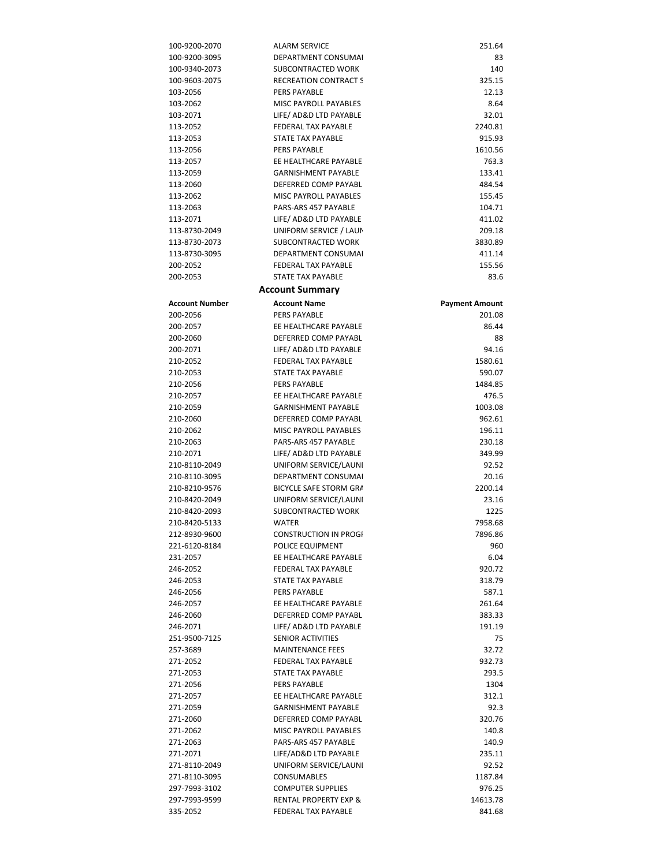| 100-9200-2070  | <b>ALARM SERVICE</b>             | 251.64                |
|----------------|----------------------------------|-----------------------|
| 100-9200-3095  | DEPARTMENT CONSUMAL              | 83                    |
| 100-9340-2073  | SUBCONTRACTED WORK               | 140                   |
| 100-9603-2075  | <b>RECREATION CONTRACT S</b>     | 325.15                |
| 103-2056       | PERS PAYABLE                     | 12.13                 |
| 103-2062       | <b>MISC PAYROLL PAYABLES</b>     | 8.64                  |
| 103-2071       | LIFE/ AD&D LTD PAYABLE           | 32.01                 |
|                |                                  |                       |
| 113-2052       | FEDERAL TAX PAYABLE              | 2240.81               |
| 113-2053       | STATE TAX PAYABLE                | 915.93                |
| 113-2056       | PERS PAYABLE                     | 1610.56               |
| 113-2057       | EE HEALTHCARE PAYABLE            | 763.3                 |
| 113-2059       | <b>GARNISHMENT PAYABLE</b>       | 133.41                |
| 113-2060       | DEFERRED COMP PAYABL             | 484.54                |
| 113-2062       | MISC PAYROLL PAYABLES            | 155.45                |
| 113-2063       | PARS-ARS 457 PAYABLE             | 104.71                |
| 113-2071       | LIFE/ AD&D LTD PAYABLE           | 411.02                |
| 113-8730-2049  | UNIFORM SERVICE / LAUN           | 209.18                |
| 113-8730-2073  | SUBCONTRACTED WORK               | 3830.89               |
| 113-8730-3095  | DEPARTMENT CONSUMAL              | 411.14                |
| 200-2052       | <b>FEDERAL TAX PAYABLE</b>       | 155.56                |
| 200-2053       | STATE TAX PAYABLE                | 83.6                  |
|                |                                  |                       |
|                | <b>Account Summary</b>           |                       |
| Account Number | <b>Account Name</b>              | <b>Payment Amount</b> |
| 200-2056       | PERS PAYABLE                     | 201.08                |
| 200-2057       | EE HEALTHCARE PAYABLE            | 86.44                 |
| 200-2060       | DEFERRED COMP PAYABL             | 88                    |
| 200-2071       | LIFE/ AD&D LTD PAYABLE           | 94.16                 |
| 210-2052       | <b>FEDERAL TAX PAYABLE</b>       | 1580.61               |
| 210-2053       | STATE TAX PAYABLE                | 590.07                |
| 210-2056       | <b>PERS PAYABLE</b>              | 1484.85               |
|                | EE HEALTHCARE PAYABLE            |                       |
| 210-2057       |                                  | 476.5                 |
| 210-2059       | <b>GARNISHMENT PAYABLE</b>       | 1003.08               |
| 210-2060       | DEFERRED COMP PAYABL             | 962.61                |
| 210-2062       | MISC PAYROLL PAYABLES            | 196.11                |
| 210-2063       | PARS-ARS 457 PAYABLE             | 230.18                |
| 210-2071       | LIFE/ AD&D LTD PAYABLE           | 349.99                |
| 210-8110-2049  | UNIFORM SERVICE/LAUNI            | 92.52                 |
| 210-8110-3095  | DEPARTMENT CONSUMAL              | 20.16                 |
| 210-8210-9576  | <b>BICYCLE SAFE STORM GRA</b>    | 2200.14               |
| 210-8420-2049  | UNIFORM SERVICE/LAUNI            | 23.16                 |
| 210-8420-2093  | SUBCONTRACTED WORK               | 1225                  |
| 210-8420-5133  | WATER                            | 7958.68               |
| 212-8930-9600  | <b>CONSTRUCTION IN PROGI</b>     | 7896.86               |
| 221-6120-8184  | POLICE EQUIPMENT                 | 960                   |
| 231-2057       | EE HEALTHCARE PAYABLE            | 6.04                  |
| 246-2052       | FEDERAL TAX PAYABLE              | 920.72                |
| 246-2053       | <b>STATE TAX PAYABLE</b>         | 318.79                |
|                |                                  |                       |
| 246-2056       | <b>PERS PAYABLE</b>              | 587.1                 |
| 246-2057       | EE HEALTHCARE PAYABLE            | 261.64                |
| 246-2060       | DEFERRED COMP PAYABL             | 383.33                |
| 246-2071       | LIFE/ AD&D LTD PAYABLE           | 191.19                |
| 251-9500-7125  | <b>SENIOR ACTIVITIES</b>         | 75                    |
| 257-3689       | <b>MAINTENANCE FEES</b>          | 32.72                 |
| 271-2052       | FEDERAL TAX PAYABLE              | 932.73                |
| 271-2053       | <b>STATE TAX PAYABLE</b>         | 293.5                 |
| 271-2056       | <b>PERS PAYABLE</b>              | 1304                  |
| 271-2057       | EE HEALTHCARE PAYABLE            | 312.1                 |
| 271-2059       | <b>GARNISHMENT PAYABLE</b>       | 92.3                  |
| 271-2060       | DEFERRED COMP PAYABL             | 320.76                |
| 271-2062       | MISC PAYROLL PAYABLES            | 140.8                 |
| 271-2063       | PARS-ARS 457 PAYABLE             | 140.9                 |
| 271-2071       | LIFE/AD&D LTD PAYABLE            | 235.11                |
|                |                                  |                       |
| 271-8110-2049  | UNIFORM SERVICE/LAUNI            | 92.52                 |
| 271-8110-3095  | <b>CONSUMABLES</b>               | 1187.84               |
| 297-7993-3102  | <b>COMPUTER SUPPLIES</b>         | 976.25                |
| 297-7993-9599  | <b>RENTAL PROPERTY EXP &amp;</b> | 14613.78              |
| 335-2052       | FEDERAL TAX PAYABLE              | 841.68                |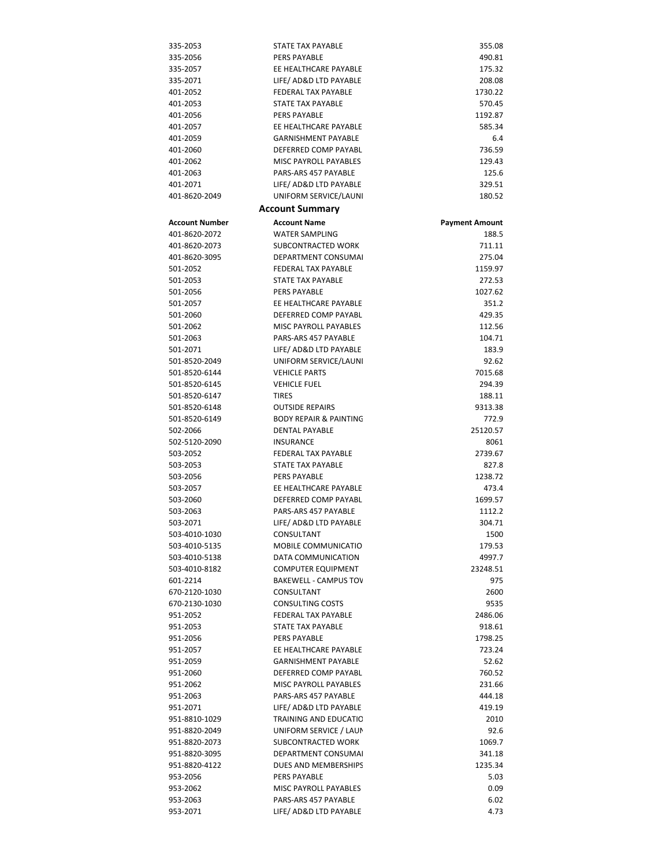| 335-2053                  | STATE TAX PAYABLE                                         | 355.08                |
|---------------------------|-----------------------------------------------------------|-----------------------|
| 335-2056                  | PERS PAYABLE                                              | 490.81                |
| 335-2057                  | EE HEALTHCARE PAYABLE                                     | 175.32                |
| 335-2071                  | LIFE/ AD&D LTD PAYABLE                                    | 208.08                |
| 401-2052                  | FEDERAL TAX PAYABLE                                       | 1730.22               |
| 401-2053                  | STATE TAX PAYABLE                                         | 570.45                |
| 401-2056                  | PERS PAYABLE                                              | 1192.87               |
| 401-2057                  | EE HEALTHCARE PAYABLE                                     | 585.34                |
| 401-2059                  | <b>GARNISHMENT PAYABLE</b>                                | 6.4                   |
| 401-2060                  | DEFERRED COMP PAYABL                                      | 736.59                |
| 401-2062                  | MISC PAYROLL PAYABLES                                     | 129.43                |
| 401-2063                  | PARS-ARS 457 PAYABLE                                      | 125.6                 |
| 401-2071                  | LIFE/ AD&D LTD PAYABLE                                    | 329.51                |
| 401-8620-2049             | UNIFORM SERVICE/LAUNI                                     | 180.52                |
|                           | <b>Account Summary</b>                                    |                       |
| <b>Account Number</b>     | <b>Account Name</b>                                       | <b>Payment Amount</b> |
| 401-8620-2072             | <b>WATER SAMPLING</b>                                     | 188.5                 |
| 401-8620-2073             | SUBCONTRACTED WORK                                        | 711.11                |
| 401-8620-3095             | DEPARTMENT CONSUMAL                                       | 275.04                |
| 501-2052                  | FEDERAL TAX PAYABLE                                       | 1159.97               |
| 501-2053                  | STATE TAX PAYABLE                                         | 272.53                |
| 501-2056                  | PERS PAYABLE                                              | 1027.62               |
| 501-2057                  | EE HEALTHCARE PAYABLE                                     | 351.2                 |
| 501-2060                  | DEFERRED COMP PAYABL                                      | 429.35                |
| 501-2062                  | MISC PAYROLL PAYABLES                                     | 112.56                |
| 501-2063                  | PARS-ARS 457 PAYABLE                                      | 104.71                |
| 501-2071                  | LIFE/ AD&D LTD PAYABLE                                    | 183.9                 |
| 501-8520-2049             | UNIFORM SERVICE/LAUNI                                     | 92.62                 |
| 501-8520-6144             | <b>VEHICLE PARTS</b>                                      | 7015.68               |
| 501-8520-6145             | <b>VEHICLE FUEL</b>                                       | 294.39                |
| 501-8520-6147             | <b>TIRES</b>                                              | 188.11                |
| 501-8520-6148             | <b>OUTSIDE REPAIRS</b>                                    | 9313.38               |
| 501-8520-6149             | <b>BODY REPAIR &amp; PAINTING</b>                         | 772.9                 |
| 502-2066                  | <b>DENTAL PAYABLE</b>                                     | 25120.57              |
| 502-5120-2090             | INSURANCE                                                 | 8061                  |
| 503-2052                  | FEDERAL TAX PAYABLE                                       | 2739.67               |
| 503-2053                  | STATE TAX PAYABLE                                         | 827.8                 |
| 503-2056                  | <b>PERS PAYABLE</b>                                       | 1238.72               |
| 503-2057                  | EE HEALTHCARE PAYABLE                                     | 473.4                 |
| 503-2060                  | DEFERRED COMP PAYABL                                      | 1699.57               |
| 503-2063                  | PARS-ARS 457 PAYABLE                                      | 1112.2                |
| 503-2071                  | LIFE/ AD&D LTD PAYABLE                                    | 304.71                |
| 503-4010-1030             | CONSULTANT                                                | 1500                  |
| 503-4010-5135             | <b>MOBILE COMMUNICATIO</b>                                | 179.53                |
| 503-4010-5138             | DATA COMMUNICATION                                        | 4997.7                |
| 503-4010-8182<br>601-2214 | <b>COMPUTER EQUIPMENT</b><br><b>BAKEWELL - CAMPUS TOV</b> | 23248.51<br>975       |
| 670-2120-1030             | CONSULTANT                                                | 2600                  |
| 670-2130-1030             | <b>CONSULTING COSTS</b>                                   | 9535                  |
| 951-2052                  | <b>FEDERAL TAX PAYABLE</b>                                | 2486.06               |
| 951-2053                  | STATE TAX PAYABLE                                         | 918.61                |
| 951-2056                  | PERS PAYABLE                                              | 1798.25               |
| 951-2057                  | EE HEALTHCARE PAYABLE                                     | 723.24                |
| 951-2059                  | <b>GARNISHMENT PAYABLE</b>                                | 52.62                 |
| 951-2060                  | DEFERRED COMP PAYABL                                      | 760.52                |
| 951-2062                  | <b>MISC PAYROLL PAYABLES</b>                              | 231.66                |
| 951-2063                  | PARS-ARS 457 PAYABLE                                      | 444.18                |
| 951-2071                  | LIFE/ AD&D LTD PAYABLE                                    | 419.19                |
| 951-8810-1029             | TRAINING AND EDUCATIC                                     | 2010                  |
| 951-8820-2049             | UNIFORM SERVICE / LAUN                                    | 92.6                  |
| 951-8820-2073             | SUBCONTRACTED WORK                                        | 1069.7                |
| 951-8820-3095             | DEPARTMENT CONSUMAL                                       | 341.18                |
| 951-8820-4122             | DUES AND MEMBERSHIPS                                      | 1235.34               |
| 953-2056                  | PERS PAYABLE                                              | 5.03                  |
| 953-2062                  | MISC PAYROLL PAYABLES                                     | 0.09                  |
| 953-2063                  | PARS-ARS 457 PAYABLE                                      | 6.02                  |
| 953-2071                  | LIFE/ AD&D LTD PAYABLE                                    | 4.73                  |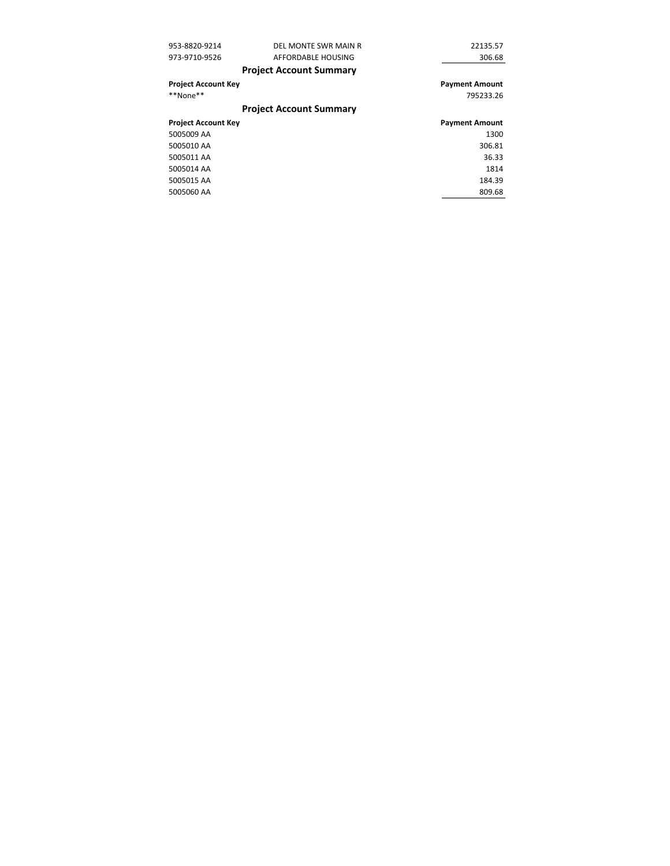| 953-8820-9214              | DEL MONTE SWR MAIN R           | 22135.57              |
|----------------------------|--------------------------------|-----------------------|
| 973-9710-9526              | AFFORDABLE HOUSING             | 306.68                |
|                            | <b>Project Account Summary</b> |                       |
| <b>Project Account Key</b> |                                | <b>Payment Amount</b> |
| **None**                   |                                | 795233.26             |
|                            | <b>Project Account Summary</b> |                       |
| <b>Project Account Key</b> |                                | <b>Payment Amount</b> |
| 5005009 AA                 |                                | 1300                  |
| 5005010 AA                 |                                | 306.81                |
|                            |                                |                       |
| 5005011 AA                 |                                | 36.33                 |
| 5005014 AA                 |                                | 1814                  |
| 5005015 AA                 |                                | 184.39                |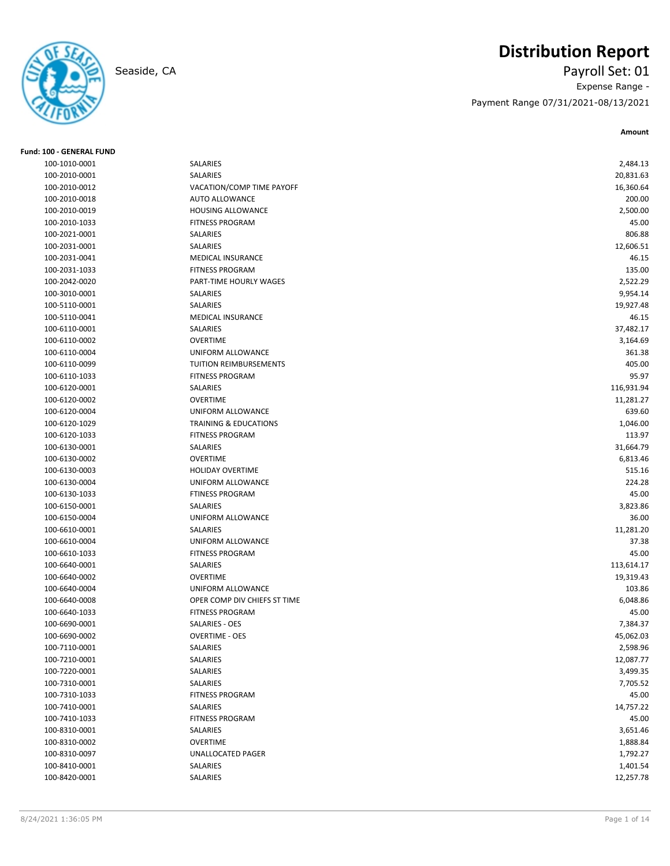# **Distribution Report**

Seaside, CA Payroll Set: 01 Expense Range - Payment Range 07/31/2021-08/13/2021

| <b>Fund: 100 - GENERAL FUND</b> |                                      |                    |
|---------------------------------|--------------------------------------|--------------------|
| 100-1010-0001                   | SALARIES                             | 2,484.13           |
| 100-2010-0001                   | SALARIES                             | 20,831.63          |
| 100-2010-0012                   | VACATION/COMP TIME PAYOFF            | 16,360.64          |
| 100-2010-0018                   | <b>AUTO ALLOWANCE</b>                | 200.00             |
| 100-2010-0019                   | HOUSING ALLOWANCE                    | 2,500.00           |
| 100-2010-1033                   | <b>FITNESS PROGRAM</b>               | 45.00              |
| 100-2021-0001                   | SALARIES                             | 806.88             |
| 100-2031-0001                   | SALARIES                             | 12,606.51          |
| 100-2031-0041                   | <b>MEDICAL INSURANCE</b>             | 46.15              |
| 100-2031-1033                   | <b>FITNESS PROGRAM</b>               | 135.00             |
| 100-2042-0020                   | PART-TIME HOURLY WAGES               | 2,522.29           |
| 100-3010-0001                   | SALARIES                             | 9,954.14           |
| 100-5110-0001                   | SALARIES                             | 19,927.48          |
| 100-5110-0041                   | <b>MEDICAL INSURANCE</b>             | 46.15              |
| 100-6110-0001                   | SALARIES                             | 37,482.17          |
| 100-6110-0002                   | <b>OVERTIME</b>                      | 3,164.69           |
| 100-6110-0004                   | UNIFORM ALLOWANCE                    | 361.38             |
| 100-6110-0099                   | <b>TUITION REIMBURSEMENTS</b>        | 405.00             |
| 100-6110-1033                   | <b>FITNESS PROGRAM</b>               | 95.97              |
| 100-6120-0001                   | SALARIES                             | 116,931.94         |
| 100-6120-0002                   | <b>OVERTIME</b>                      | 11,281.27          |
| 100-6120-0004                   | UNIFORM ALLOWANCE                    | 639.60             |
| 100-6120-1029                   | <b>TRAINING &amp; EDUCATIONS</b>     | 1,046.00           |
| 100-6120-1033                   | <b>FITNESS PROGRAM</b>               | 113.97             |
| 100-6130-0001                   | SALARIES                             | 31,664.79          |
| 100-6130-0002                   | <b>OVERTIME</b>                      | 6,813.46           |
| 100-6130-0003                   | <b>HOLIDAY OVERTIME</b>              | 515.16             |
| 100-6130-0004                   | UNIFORM ALLOWANCE                    | 224.28             |
| 100-6130-1033                   | <b>FTINESS PROGRAM</b>               | 45.00              |
| 100-6150-0001                   | SALARIES                             | 3,823.86           |
|                                 |                                      |                    |
| 100-6150-0004<br>100-6610-0001  | UNIFORM ALLOWANCE<br><b>SALARIES</b> | 36.00<br>11,281.20 |
|                                 |                                      |                    |
| 100-6610-0004                   | UNIFORM ALLOWANCE                    | 37.38              |
| 100-6610-1033                   | <b>FITNESS PROGRAM</b>               | 45.00              |
| 100-6640-0001                   | SALARIES                             | 113,614.17         |
| 100-6640-0002                   | <b>OVERTIME</b>                      | 19,319.43          |
| 100-6640-0004                   | UNIFORM ALLOWANCE                    | 103.86             |
| 100-6640-0008                   | OPER COMP DIV CHIEFS ST TIME         | 6,048.86           |
| 100-6640-1033                   | <b>FITNESS PROGRAM</b>               | 45.00              |
| 100-6690-0001                   | SALARIES - OES                       | 7,384.37           |
| 100-6690-0002                   | <b>OVERTIME - OES</b>                | 45,062.03          |
| 100-7110-0001                   | SALARIES                             | 2,598.96           |
| 100-7210-0001                   | SALARIES                             | 12,087.77          |
| 100-7220-0001                   | SALARIES                             | 3,499.35           |
| 100-7310-0001                   | SALARIES                             | 7,705.52           |
| 100-7310-1033                   | <b>FITNESS PROGRAM</b>               | 45.00              |
| 100-7410-0001                   | SALARIES                             | 14,757.22          |
| 100-7410-1033                   | <b>FITNESS PROGRAM</b>               | 45.00              |
| 100-8310-0001                   | SALARIES                             | 3,651.46           |
| 100-8310-0002                   | <b>OVERTIME</b>                      | 1,888.84           |
| 100-8310-0097                   | UNALLOCATED PAGER                    | 1,792.27           |
| 100-8410-0001                   | SALARIES                             | 1,401.54           |
| 100-8420-0001                   | SALARIES                             | 12,257.78          |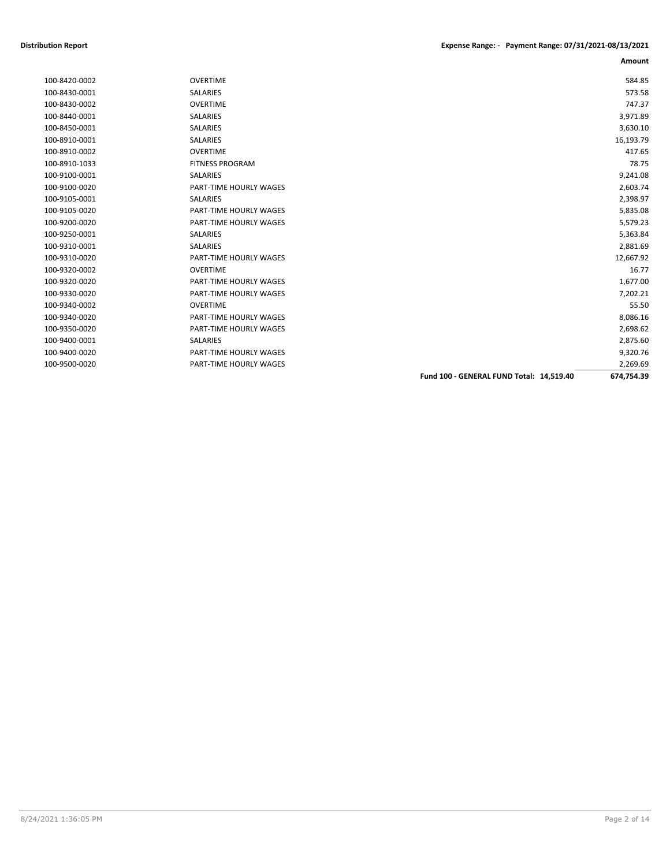| 100-8430-0001 | SALARIES               |                                          | 573.58     |
|---------------|------------------------|------------------------------------------|------------|
| 100-8430-0002 | <b>OVERTIME</b>        |                                          | 747.37     |
| 100-8440-0001 | <b>SALARIES</b>        |                                          | 3,971.89   |
| 100-8450-0001 | <b>SALARIES</b>        |                                          | 3,630.10   |
| 100-8910-0001 | <b>SALARIES</b>        |                                          | 16,193.79  |
| 100-8910-0002 | <b>OVERTIME</b>        |                                          | 417.65     |
| 100-8910-1033 | <b>FITNESS PROGRAM</b> |                                          | 78.75      |
| 100-9100-0001 | <b>SALARIES</b>        |                                          | 9,241.08   |
| 100-9100-0020 | PART-TIME HOURLY WAGES |                                          | 2,603.74   |
| 100-9105-0001 | <b>SALARIES</b>        |                                          | 2,398.97   |
| 100-9105-0020 | PART-TIME HOURLY WAGES |                                          | 5,835.08   |
| 100-9200-0020 | PART-TIME HOURLY WAGES |                                          | 5,579.23   |
| 100-9250-0001 | <b>SALARIES</b>        |                                          | 5,363.84   |
| 100-9310-0001 | <b>SALARIES</b>        |                                          | 2,881.69   |
| 100-9310-0020 | PART-TIME HOURLY WAGES |                                          | 12,667.92  |
| 100-9320-0002 | <b>OVERTIME</b>        |                                          | 16.77      |
| 100-9320-0020 | PART-TIME HOURLY WAGES |                                          | 1,677.00   |
| 100-9330-0020 | PART-TIME HOURLY WAGES |                                          | 7,202.21   |
| 100-9340-0002 | <b>OVERTIME</b>        |                                          | 55.50      |
| 100-9340-0020 | PART-TIME HOURLY WAGES |                                          | 8,086.16   |
| 100-9350-0020 | PART-TIME HOURLY WAGES |                                          | 2,698.62   |
| 100-9400-0001 | <b>SALARIES</b>        |                                          | 2,875.60   |
| 100-9400-0020 | PART-TIME HOURLY WAGES |                                          | 9,320.76   |
| 100-9500-0020 | PART-TIME HOURLY WAGES |                                          | 2,269.69   |
|               |                        | Fund 100 - GENERAL FUND Total: 14,519.40 | 674,754.39 |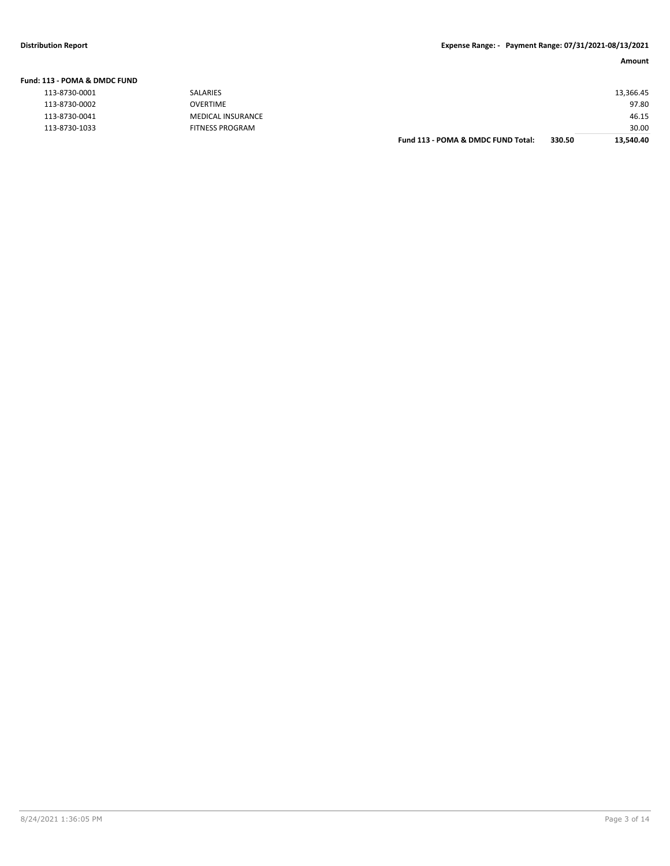| Fund: 113 - POMA & DMDC FUND |                          |                                    |        |           |
|------------------------------|--------------------------|------------------------------------|--------|-----------|
| 113-8730-0001                | <b>SALARIES</b>          |                                    |        | 13,366.45 |
| 113-8730-0002                | <b>OVERTIME</b>          |                                    |        | 97.80     |
| 113-8730-0041                | <b>MEDICAL INSURANCE</b> |                                    |        | 46.15     |
| 113-8730-1033                | FITNESS PROGRAM          |                                    |        | 30.00     |
|                              |                          | Fund 113 - POMA & DMDC FUND Total: | 330.50 | 13,540.40 |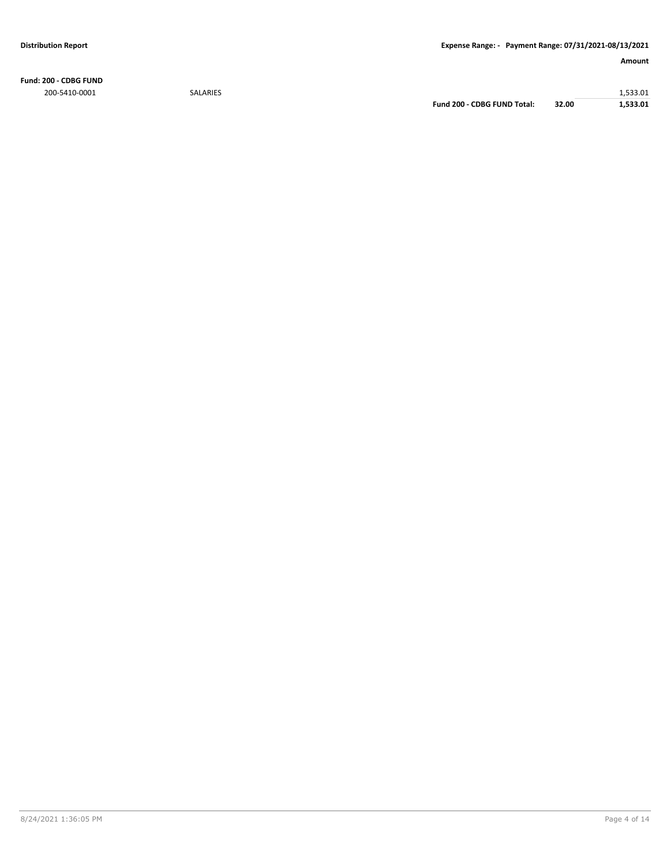**Fund: 200 - CDBG FUND** 200-5410-0001 SALARIES 1,533.01

**Fund 200 - CDBG FUND Total: 32.00 1,533.01**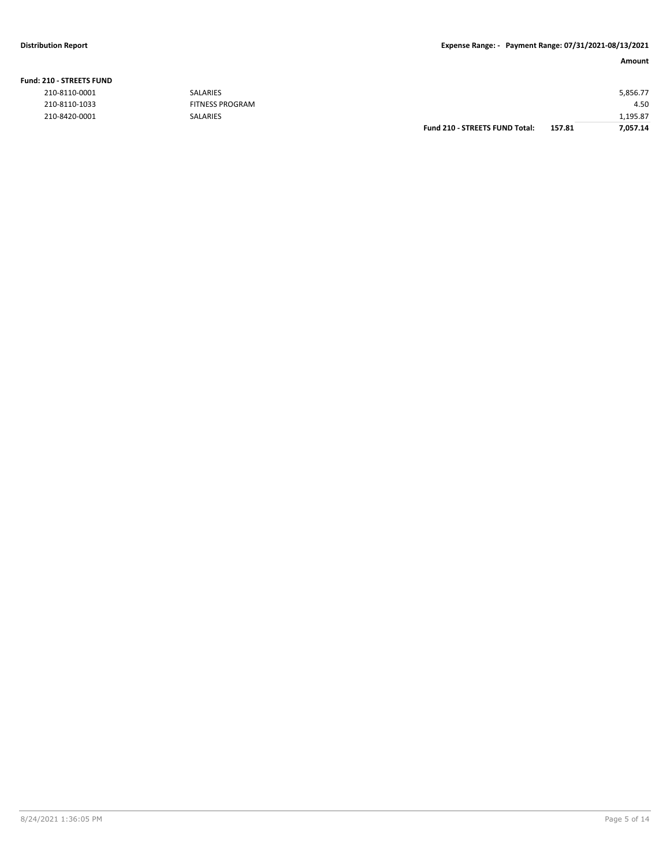#### **Distribution Report Expense Range: - Payment Range: 07/31/2021-08/13/2021**

**Amount**

|  | <b>Fund: 210 - STREETS FUND</b> |
|--|---------------------------------|
|--|---------------------------------|

| 210-8110-0001 | SALARIES               |                                       |        | 5,856.77 |
|---------------|------------------------|---------------------------------------|--------|----------|
| 210-8110-1033 | <b>FITNESS PROGRAM</b> |                                       |        | 4.50     |
| 210-8420-0001 | SALARIES               |                                       |        | 1,195.87 |
|               |                        | <b>Fund 210 - STREETS FUND Total:</b> | 157.81 | 7,057.14 |
|               |                        |                                       |        |          |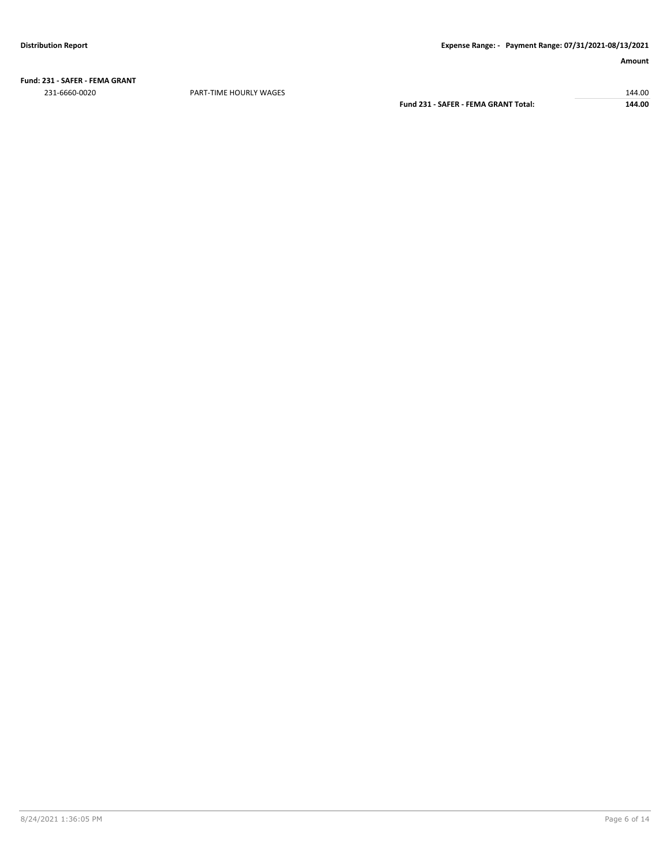**Fund: 231 - SAFER - FEMA GRANT** 231-6660-0020 PART-TIME HOURLY WAGES 144.00

**Fund 231 - SAFER - FEMA GRANT Total: 144.00**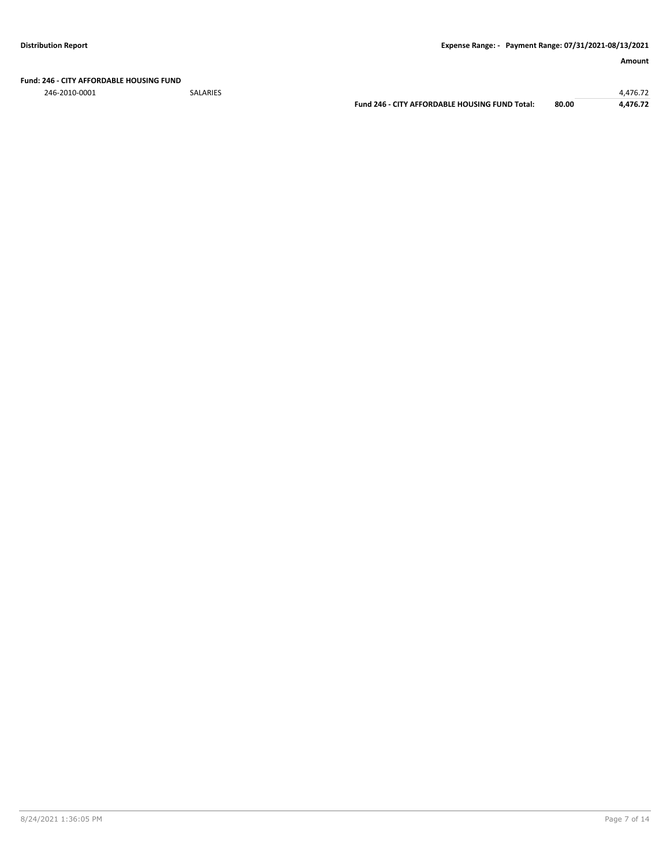**Fund: 246 - CITY AFFORDABLE HOUSING FUND**

246-2010-0001 SALARIES 4,476.72

**Fund 246 - CITY AFFORDABLE HOUSING FUND Total: 80.00 4,476.72**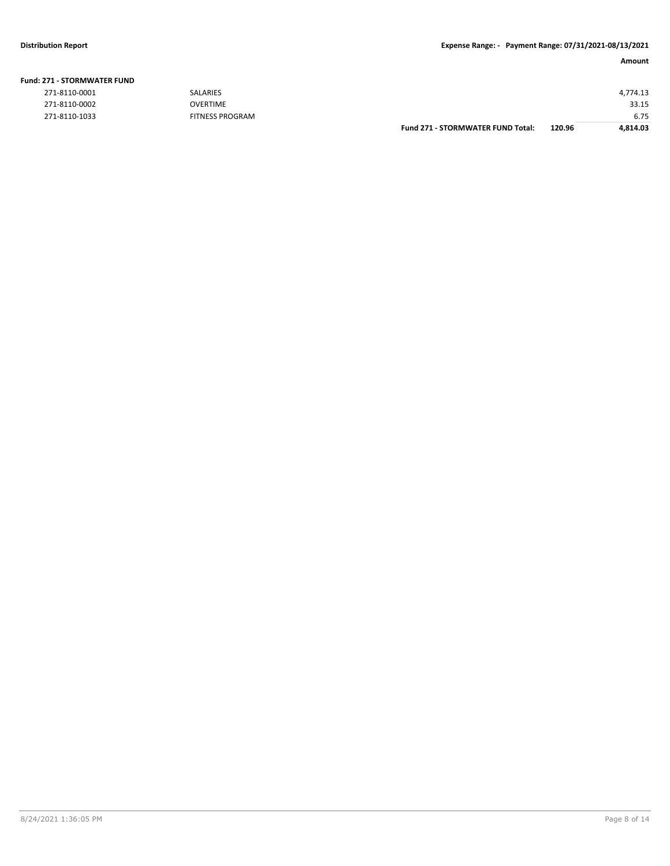| 271-8110-0001 | <b>SALARIES</b>        |                                          |        | 4,774.13 |
|---------------|------------------------|------------------------------------------|--------|----------|
| 271-8110-0002 | <b>OVERTIME</b>        |                                          |        | 33.15    |
| 271-8110-1033 | <b>FITNESS PROGRAM</b> |                                          |        | 6.75     |
|               |                        | <b>Fund 271 - STORMWATER FUND Total:</b> | 120.96 | 4,814.03 |
|               |                        |                                          |        |          |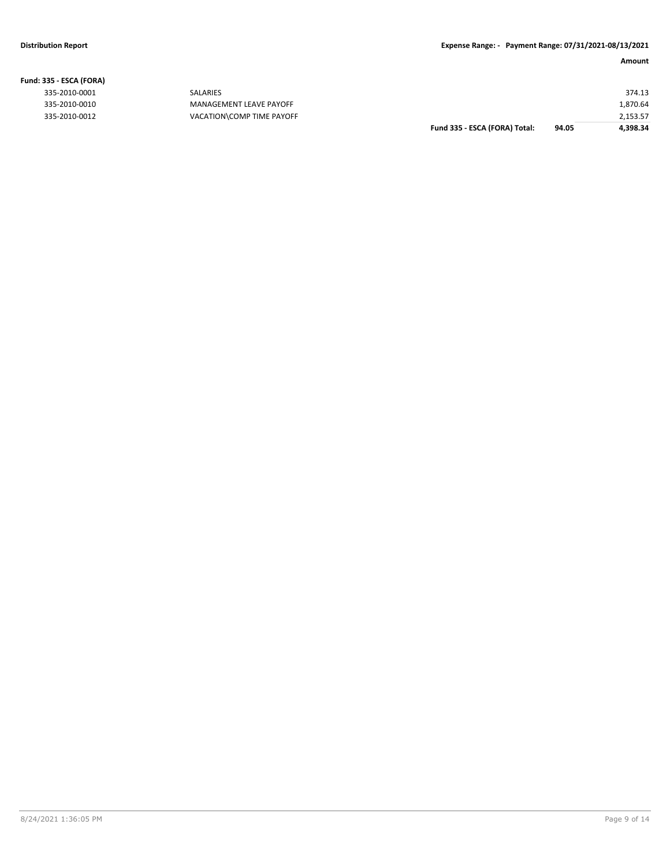| 535 - ESCA (FORA) |                           |                               |       |          |
|-------------------|---------------------------|-------------------------------|-------|----------|
| 335-2010-0001     | SALARIES                  |                               |       | 374.13   |
| 335-2010-0010     | MANAGEMENT LEAVE PAYOFF   |                               |       | 1,870.64 |
| 335-2010-0012     | VACATION\COMP TIME PAYOFF |                               |       | 2,153.57 |
|                   |                           | Fund 335 - ESCA (FORA) Total: | 94.05 | 4,398.34 |

# **Fund: 335 - ESCA (FORA)**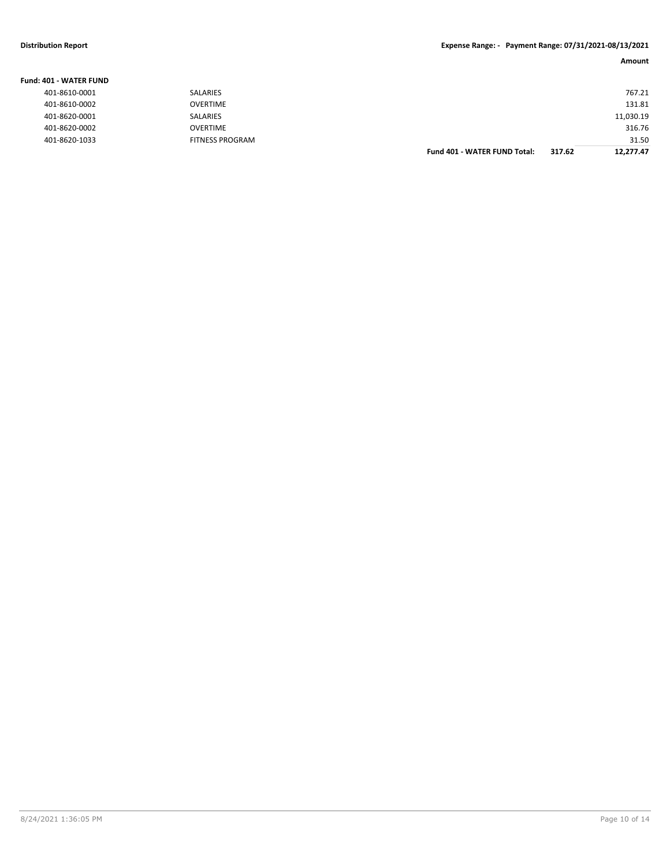#### **Distribution Report Expense Range: - Payment Range: 07/31/2021-08/13/2021**

| <b>Fund: 401 - WATER FUND</b> |                        |                                     |        |           |
|-------------------------------|------------------------|-------------------------------------|--------|-----------|
| 401-8610-0001                 | SALARIES               |                                     |        | 767.21    |
| 401-8610-0002                 | <b>OVERTIME</b>        |                                     |        | 131.81    |
| 401-8620-0001                 | SALARIES               |                                     |        | 11,030.19 |
| 401-8620-0002                 | <b>OVERTIME</b>        |                                     |        | 316.76    |
| 401-8620-1033                 | <b>FITNESS PROGRAM</b> |                                     |        | 31.50     |
|                               |                        | <b>Fund 401 - WATER FUND Total:</b> | 317.62 | 12.277.47 |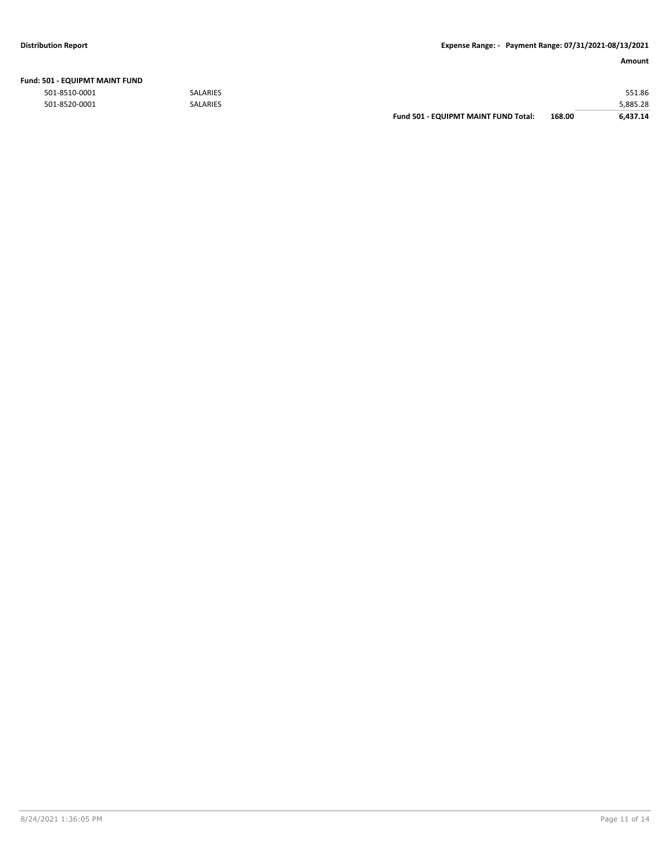|  | Fund: 501 - EQUIPMT MAINT FUND |  |
|--|--------------------------------|--|
|  |                                |  |

|               |                 | Fund 501 - EQUIPMT MAINT FUND Total: | 168.00 | 6.437.14 |
|---------------|-----------------|--------------------------------------|--------|----------|
| 501-8520-0001 | <b>SALARIES</b> |                                      |        | 5,885.28 |
| 501-8510-0001 | <b>SALARIES</b> |                                      |        | 551.86   |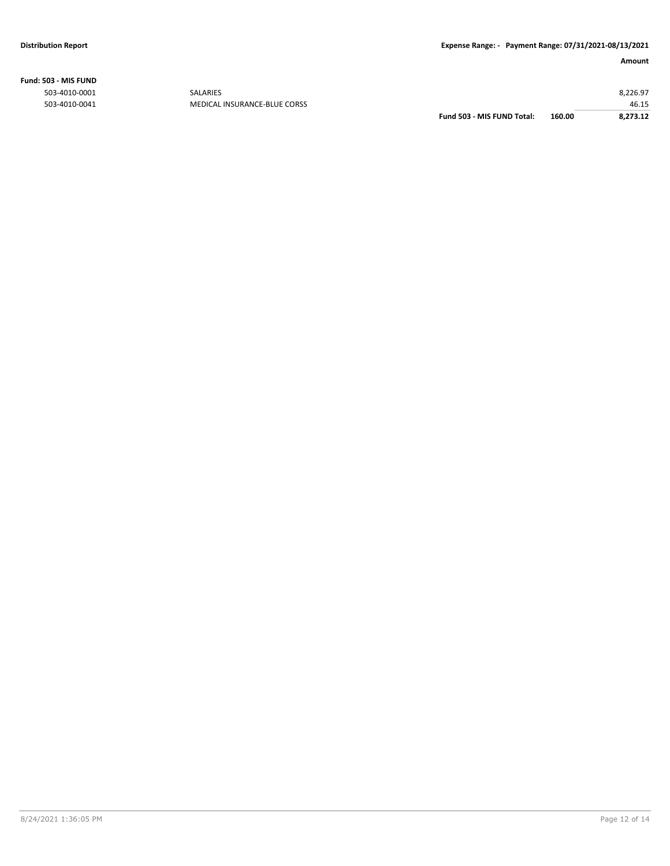**Fund: 503 - MIS FUND**

|               |                              | Fund 503 - MIS FUND Total: | 160.00 | 8.273.12 |
|---------------|------------------------------|----------------------------|--------|----------|
| 503-4010-0041 | MEDICAL INSURANCE-BLUE CORSS |                            |        | 46.15    |
| 503-4010-0001 | <b>SALARIES</b>              |                            |        | 8,226.97 |
|               |                              |                            |        |          |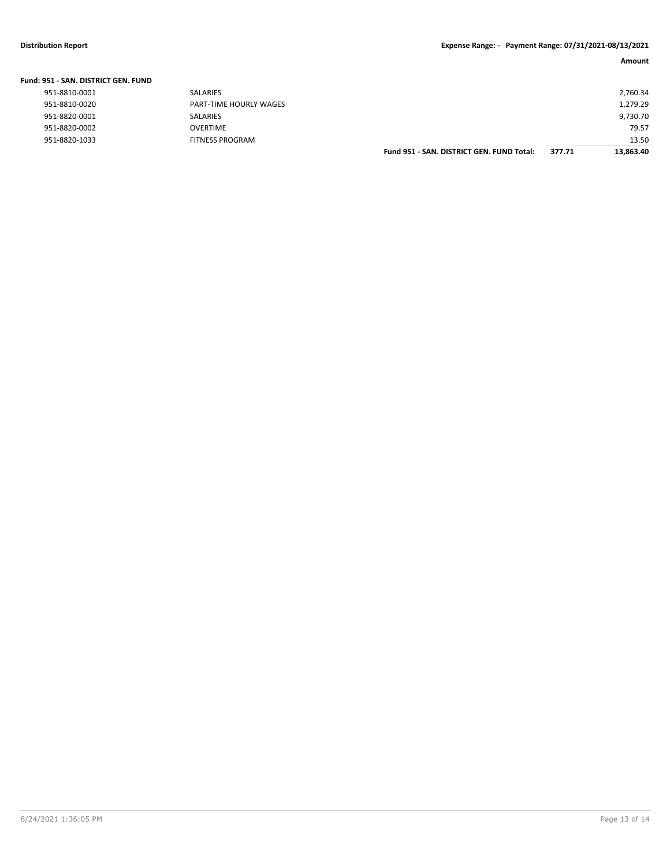| Fund: 951 - SAN, DISTRICT GEN, FUND |                        |                                           |        |           |
|-------------------------------------|------------------------|-------------------------------------------|--------|-----------|
| 951-8810-0001                       | SALARIES               |                                           |        | 2,760.34  |
| 951-8810-0020                       | PART-TIME HOURLY WAGES |                                           |        | 1,279.29  |
| 951-8820-0001                       | SALARIES               |                                           |        | 9,730.70  |
| 951-8820-0002                       | <b>OVERTIME</b>        |                                           |        | 79.57     |
| 951-8820-1033                       | <b>FITNESS PROGRAM</b> |                                           |        | 13.50     |
|                                     |                        | Fund 951 - SAN, DISTRICT GEN, FUND Total: | 377.71 | 13.863.40 |